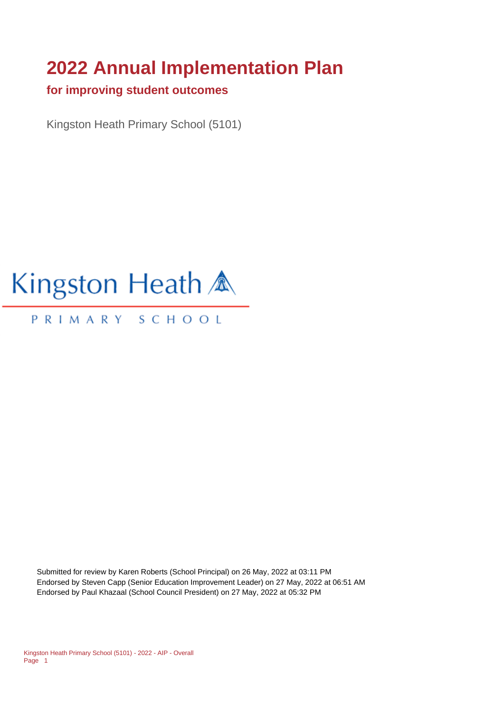# **2022 Annual Implementation Plan**

#### **for improving student outcomes**

Kingston Heath Primary School (5101)

# Kingston Heath A

#### PRIMARY SCHOOL

Submitted for review by Karen Roberts (School Principal) on 26 May, 2022 at 03:11 PM Endorsed by Steven Capp (Senior Education Improvement Leader) on 27 May, 2022 at 06:51 AM Endorsed by Paul Khazaal (School Council President) on 27 May, 2022 at 05:32 PM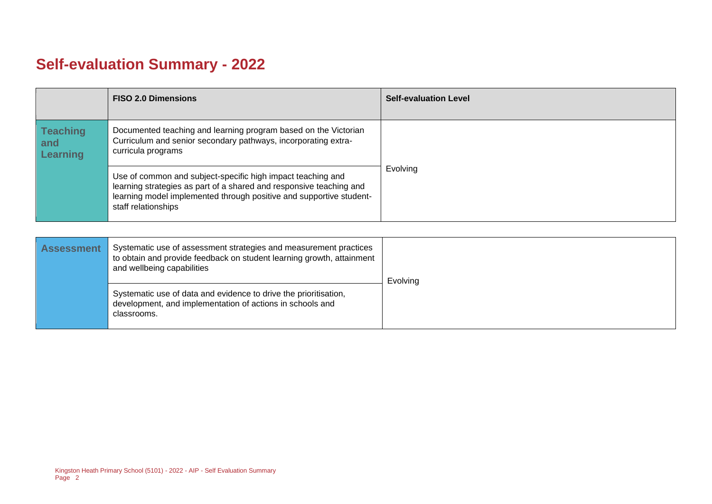## **Self-evaluation Summary - 2022**

|                                           | <b>FISO 2.0 Dimensions</b>                                                                                                                                                                                                       | <b>Self-evaluation Level</b> |
|-------------------------------------------|----------------------------------------------------------------------------------------------------------------------------------------------------------------------------------------------------------------------------------|------------------------------|
| <b>Teaching</b><br>and<br><b>Learning</b> | Documented teaching and learning program based on the Victorian<br>Curriculum and senior secondary pathways, incorporating extra-<br>curricula programs                                                                          |                              |
|                                           | Use of common and subject-specific high impact teaching and<br>learning strategies as part of a shared and responsive teaching and<br>learning model implemented through positive and supportive student-<br>staff relationships | Evolving                     |

| <b>Assessment</b> | Systematic use of assessment strategies and measurement practices<br>to obtain and provide feedback on student learning growth, attainment<br>and wellbeing capabilities | Evolving |
|-------------------|--------------------------------------------------------------------------------------------------------------------------------------------------------------------------|----------|
|                   | Systematic use of data and evidence to drive the prioritisation,<br>development, and implementation of actions in schools and<br>classrooms.                             |          |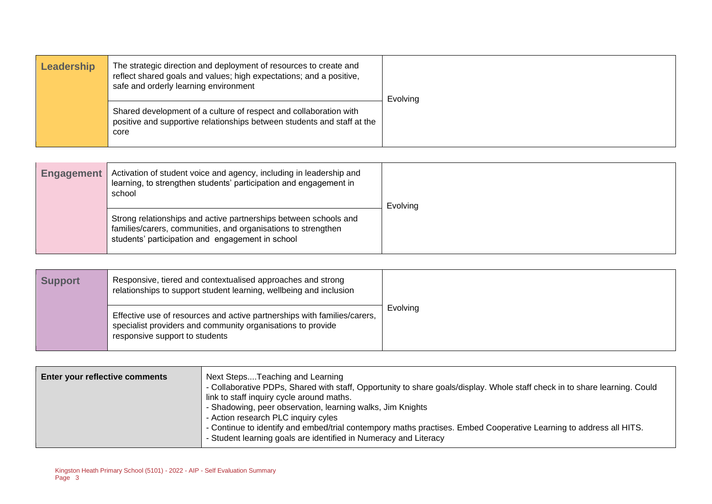| Leadership | The strategic direction and deployment of resources to create and<br>reflect shared goals and values; high expectations; and a positive,<br>safe and orderly learning environment | Evolving |
|------------|-----------------------------------------------------------------------------------------------------------------------------------------------------------------------------------|----------|
|            | Shared development of a culture of respect and collaboration with<br>positive and supportive relationships between students and staff at the<br>core                              |          |

| <b>Engagement</b> | Activation of student voice and agency, including in leadership and<br>learning, to strengthen students' participation and engagement in<br>school                                    | Evolving |
|-------------------|---------------------------------------------------------------------------------------------------------------------------------------------------------------------------------------|----------|
|                   | Strong relationships and active partnerships between schools and<br>families/carers, communities, and organisations to strengthen<br>students' participation and engagement in school |          |

| <b>Support</b> | Responsive, tiered and contextualised approaches and strong<br>relationships to support student learning, wellbeing and inclusion                                         |          |
|----------------|---------------------------------------------------------------------------------------------------------------------------------------------------------------------------|----------|
|                | Effective use of resources and active partnerships with families/carers,<br>specialist providers and community organisations to provide<br>responsive support to students | Evolving |

| Enter your reflective comments | Next StepsTeaching and Learning<br>- Collaborative PDPs, Shared with staff, Opportunity to share goals/display. Whole staff check in to share learning. Could<br>link to staff inquiry cycle around maths.<br>- Shadowing, peer observation, learning walks, Jim Knights<br>- Action research PLC inquiry cyles<br>- Continue to identify and embed/trial contempory maths practises. Embed Cooperative Learning to address all HITS.<br>- Student learning goals are identified in Numeracy and Literacy |
|--------------------------------|-----------------------------------------------------------------------------------------------------------------------------------------------------------------------------------------------------------------------------------------------------------------------------------------------------------------------------------------------------------------------------------------------------------------------------------------------------------------------------------------------------------|
|                                |                                                                                                                                                                                                                                                                                                                                                                                                                                                                                                           |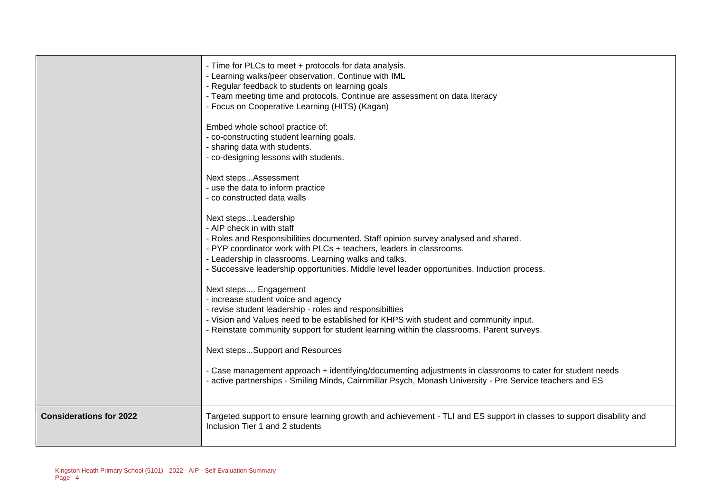|                                | - Time for PLCs to meet + protocols for data analysis.<br>- Learning walks/peer observation. Continue with IML<br>- Regular feedback to students on learning goals<br>- Team meeting time and protocols. Continue are assessment on data literacy<br>- Focus on Cooperative Learning (HITS) (Kagan)<br>Embed whole school practice of:<br>- co-constructing student learning goals.<br>- sharing data with students.<br>- co-designing lessons with students.<br>Next stepsAssessment<br>- use the data to inform practice<br>- co constructed data walls<br>Next stepsLeadership<br>- AIP check in with staff<br>- Roles and Responsibilities documented. Staff opinion survey analysed and shared.<br>- PYP coordinator work with PLCs + teachers, leaders in classrooms.<br>- Leadership in classrooms. Learning walks and talks.<br>- Successive leadership opportunities. Middle level leader opportunities. Induction process.<br>Next steps Engagement<br>- increase student voice and agency<br>- revise student leadership - roles and responsibilties<br>- Vision and Values need to be established for KHPS with student and community input.<br>- Reinstate community support for student learning within the classrooms. Parent surveys.<br>Next stepsSupport and Resources |
|--------------------------------|------------------------------------------------------------------------------------------------------------------------------------------------------------------------------------------------------------------------------------------------------------------------------------------------------------------------------------------------------------------------------------------------------------------------------------------------------------------------------------------------------------------------------------------------------------------------------------------------------------------------------------------------------------------------------------------------------------------------------------------------------------------------------------------------------------------------------------------------------------------------------------------------------------------------------------------------------------------------------------------------------------------------------------------------------------------------------------------------------------------------------------------------------------------------------------------------------------------------------------------------------------------------------------------|
|                                | - Case management approach + identifying/documenting adjustments in classrooms to cater for student needs                                                                                                                                                                                                                                                                                                                                                                                                                                                                                                                                                                                                                                                                                                                                                                                                                                                                                                                                                                                                                                                                                                                                                                                |
|                                | - active partnerships - Smiling Minds, Cairnmillar Psych, Monash University - Pre Service teachers and ES                                                                                                                                                                                                                                                                                                                                                                                                                                                                                                                                                                                                                                                                                                                                                                                                                                                                                                                                                                                                                                                                                                                                                                                |
| <b>Considerations for 2022</b> | Targeted support to ensure learning growth and achievement - TLI and ES support in classes to support disability and<br>Inclusion Tier 1 and 2 students                                                                                                                                                                                                                                                                                                                                                                                                                                                                                                                                                                                                                                                                                                                                                                                                                                                                                                                                                                                                                                                                                                                                  |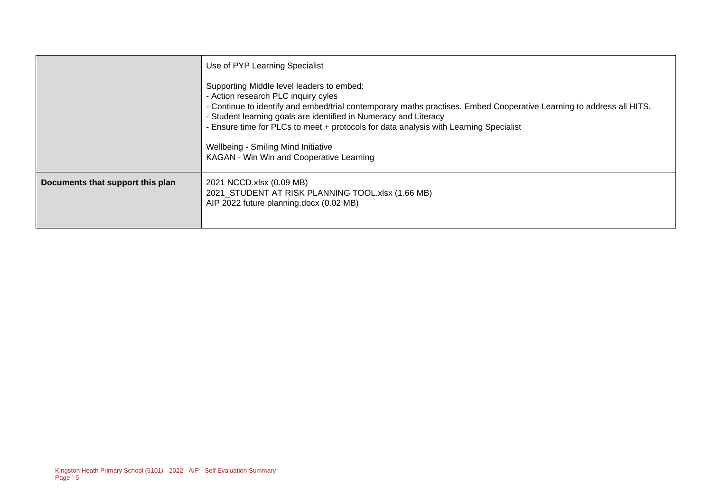|                                  | Use of PYP Learning Specialist                                                                                                                                                                                                                                                                                                                                                                                                                           |  |
|----------------------------------|----------------------------------------------------------------------------------------------------------------------------------------------------------------------------------------------------------------------------------------------------------------------------------------------------------------------------------------------------------------------------------------------------------------------------------------------------------|--|
|                                  | Supporting Middle level leaders to embed:<br>- Action research PLC inquiry cyles<br>- Continue to identify and embed/trial contemporary maths practises. Embed Cooperative Learning to address all HITS.<br>- Student learning goals are identified in Numeracy and Literacy<br>- Ensure time for PLCs to meet + protocols for data analysis with Learning Specialist<br>Wellbeing - Smiling Mind Initiative<br>KAGAN - Win Win and Cooperative Learning |  |
| Documents that support this plan | 2021 NCCD.xlsx (0.09 MB)<br>2021_STUDENT AT RISK PLANNING TOOL.xlsx (1.66 MB)<br>AIP 2022 future planning.docx (0.02 MB)                                                                                                                                                                                                                                                                                                                                 |  |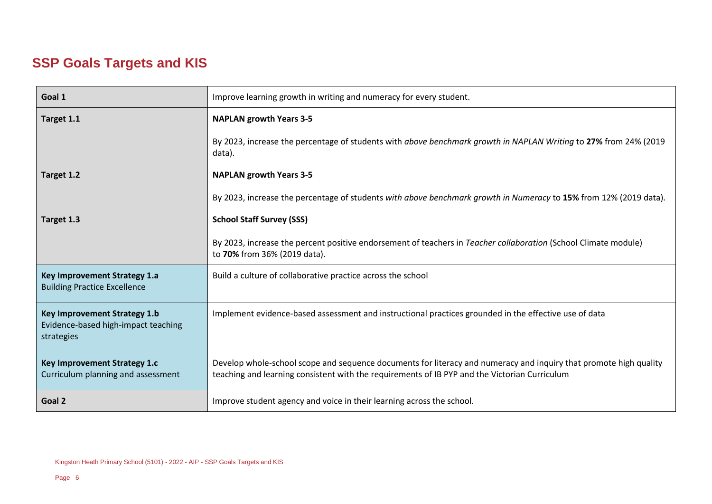## **SSP Goals Targets and KIS**

| Goal 1                                                                            | Improve learning growth in writing and numeracy for every student.                                                                                                                                                 |  |  |
|-----------------------------------------------------------------------------------|--------------------------------------------------------------------------------------------------------------------------------------------------------------------------------------------------------------------|--|--|
| Target 1.1                                                                        | <b>NAPLAN growth Years 3-5</b>                                                                                                                                                                                     |  |  |
|                                                                                   | By 2023, increase the percentage of students with above benchmark growth in NAPLAN Writing to 27% from 24% (2019<br>data).                                                                                         |  |  |
| Target 1.2                                                                        | <b>NAPLAN growth Years 3-5</b>                                                                                                                                                                                     |  |  |
|                                                                                   | By 2023, increase the percentage of students with above benchmark growth in Numeracy to 15% from 12% (2019 data).                                                                                                  |  |  |
| Target 1.3                                                                        | <b>School Staff Survey (SSS)</b>                                                                                                                                                                                   |  |  |
|                                                                                   | By 2023, increase the percent positive endorsement of teachers in Teacher collaboration (School Climate module)<br>to 70% from 36% (2019 data).                                                                    |  |  |
| Key Improvement Strategy 1.a<br><b>Building Practice Excellence</b>               | Build a culture of collaborative practice across the school                                                                                                                                                        |  |  |
| Key Improvement Strategy 1.b<br>Evidence-based high-impact teaching<br>strategies | Implement evidence-based assessment and instructional practices grounded in the effective use of data                                                                                                              |  |  |
| Key Improvement Strategy 1.c<br>Curriculum planning and assessment                | Develop whole-school scope and sequence documents for literacy and numeracy and inquiry that promote high quality<br>teaching and learning consistent with the requirements of IB PYP and the Victorian Curriculum |  |  |
| Goal 2                                                                            | Improve student agency and voice in their learning across the school.                                                                                                                                              |  |  |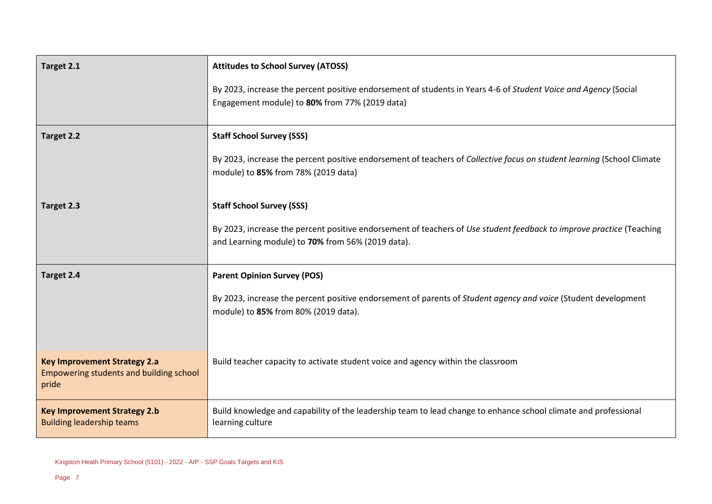| Target 2.1                                                                              | <b>Attitudes to School Survey (ATOSS)</b><br>By 2023, increase the percent positive endorsement of students in Years 4-6 of Student Voice and Agency (Social<br>Engagement module) to 80% from 77% (2019 data) |  |
|-----------------------------------------------------------------------------------------|----------------------------------------------------------------------------------------------------------------------------------------------------------------------------------------------------------------|--|
| Target 2.2                                                                              | <b>Staff School Survey (SSS)</b><br>By 2023, increase the percent positive endorsement of teachers of Collective focus on student learning (School Climate<br>module) to 85% from 78% (2019 data)              |  |
| Target 2.3                                                                              | <b>Staff School Survey (SSS)</b><br>By 2023, increase the percent positive endorsement of teachers of Use student feedback to improve practice (Teaching<br>and Learning module) to 70% from 56% (2019 data).  |  |
| Target 2.4                                                                              | <b>Parent Opinion Survey (POS)</b><br>By 2023, increase the percent positive endorsement of parents of Student agency and voice (Student development<br>module) to 85% from 80% (2019 data).                   |  |
| <b>Key Improvement Strategy 2.a</b><br>Empowering students and building school<br>pride | Build teacher capacity to activate student voice and agency within the classroom                                                                                                                               |  |
| <b>Key Improvement Strategy 2.b</b><br><b>Building leadership teams</b>                 | Build knowledge and capability of the leadership team to lead change to enhance school climate and professional<br>learning culture                                                                            |  |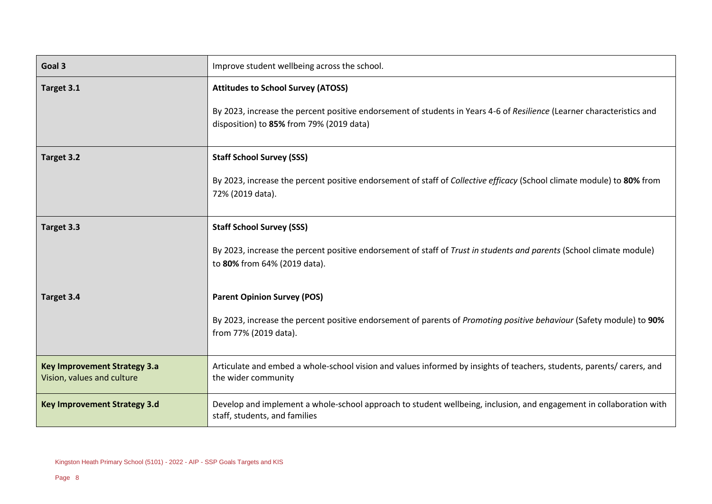| Goal 3                                                            | Improve student wellbeing across the school.                                                                                                                                                                    |  |
|-------------------------------------------------------------------|-----------------------------------------------------------------------------------------------------------------------------------------------------------------------------------------------------------------|--|
| Target 3.1                                                        | <b>Attitudes to School Survey (ATOSS)</b><br>By 2023, increase the percent positive endorsement of students in Years 4-6 of Resilience (Learner characteristics and<br>disposition) to 85% from 79% (2019 data) |  |
| Target 3.2                                                        | <b>Staff School Survey (SSS)</b><br>By 2023, increase the percent positive endorsement of staff of Collective efficacy (School climate module) to 80% from<br>72% (2019 data).                                  |  |
| Target 3.3                                                        | <b>Staff School Survey (SSS)</b><br>By 2023, increase the percent positive endorsement of staff of Trust in students and parents (School climate module)<br>to 80% from 64% (2019 data).                        |  |
| Target 3.4                                                        | <b>Parent Opinion Survey (POS)</b><br>By 2023, increase the percent positive endorsement of parents of Promoting positive behaviour (Safety module) to 90%<br>from 77% (2019 data).                             |  |
| <b>Key Improvement Strategy 3.a</b><br>Vision, values and culture | Articulate and embed a whole-school vision and values informed by insights of teachers, students, parents/ carers, and<br>the wider community                                                                   |  |
| <b>Key Improvement Strategy 3.d</b>                               | Develop and implement a whole-school approach to student wellbeing, inclusion, and engagement in collaboration with<br>staff, students, and families                                                            |  |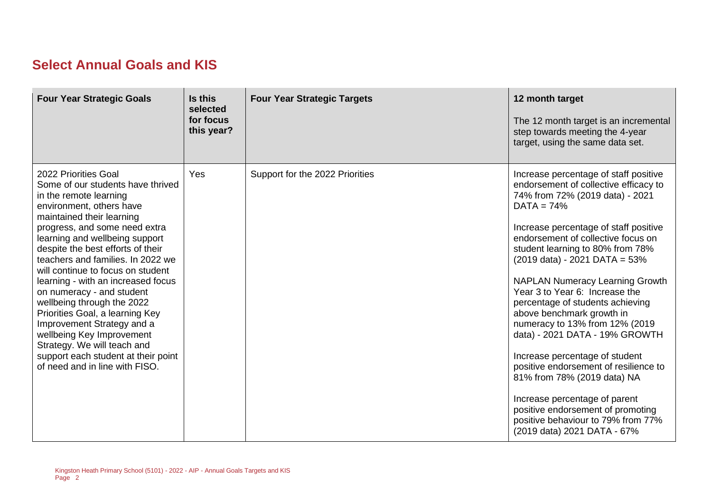## **Select Annual Goals and KIS**

| <b>Four Year Strategic Goals</b>                                                                                                                                                                                                                                                                                                                                                                                                                                                                                                                                                                                                      | Is this<br>selected<br>for focus<br>this year? | <b>Four Year Strategic Targets</b> | 12 month target<br>The 12 month target is an incremental<br>step towards meeting the 4-year<br>target, using the same data set.                                                                                                                                                                                                                                                                                                                                                                                                                                                                                                                                                                                                                                                |
|---------------------------------------------------------------------------------------------------------------------------------------------------------------------------------------------------------------------------------------------------------------------------------------------------------------------------------------------------------------------------------------------------------------------------------------------------------------------------------------------------------------------------------------------------------------------------------------------------------------------------------------|------------------------------------------------|------------------------------------|--------------------------------------------------------------------------------------------------------------------------------------------------------------------------------------------------------------------------------------------------------------------------------------------------------------------------------------------------------------------------------------------------------------------------------------------------------------------------------------------------------------------------------------------------------------------------------------------------------------------------------------------------------------------------------------------------------------------------------------------------------------------------------|
| 2022 Priorities Goal<br>Some of our students have thrived<br>in the remote learning<br>environment, others have<br>maintained their learning<br>progress, and some need extra<br>learning and wellbeing support<br>despite the best efforts of their<br>teachers and families. In 2022 we<br>will continue to focus on student<br>learning - with an increased focus<br>on numeracy - and student<br>wellbeing through the 2022<br>Priorities Goal, a learning Key<br>Improvement Strategy and a<br>wellbeing Key Improvement<br>Strategy. We will teach and<br>support each student at their point<br>of need and in line with FISO. | Yes                                            | Support for the 2022 Priorities    | Increase percentage of staff positive<br>endorsement of collective efficacy to<br>74% from 72% (2019 data) - 2021<br>$DATA = 74%$<br>Increase percentage of staff positive<br>endorsement of collective focus on<br>student learning to 80% from 78%<br>$(2019 \text{ data}) - 2021 \text{ DATA} = 53\%$<br><b>NAPLAN Numeracy Learning Growth</b><br>Year 3 to Year 6: Increase the<br>percentage of students achieving<br>above benchmark growth in<br>numeracy to 13% from 12% (2019<br>data) - 2021 DATA - 19% GROWTH<br>Increase percentage of student<br>positive endorsement of resilience to<br>81% from 78% (2019 data) NA<br>Increase percentage of parent<br>positive endorsement of promoting<br>positive behaviour to 79% from 77%<br>(2019 data) 2021 DATA - 67% |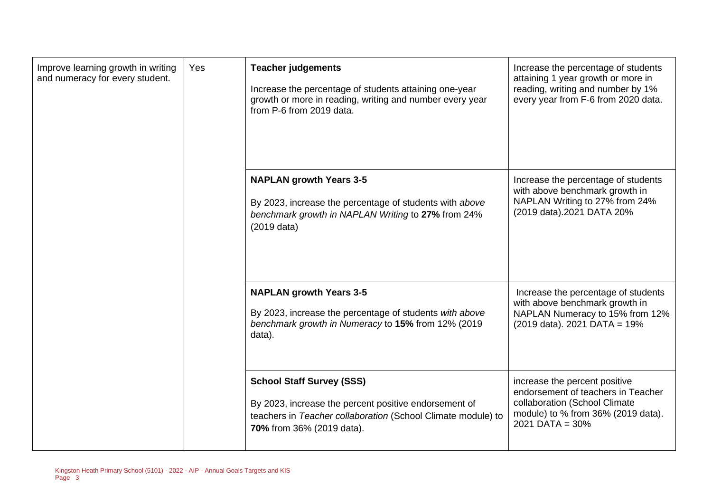| Improve learning growth in writing<br>and numeracy for every student. | Yes | <b>Teacher judgements</b><br>Increase the percentage of students attaining one-year<br>growth or more in reading, writing and number every year<br>from P-6 from 2019 data.            | Increase the percentage of students<br>attaining 1 year growth or more in<br>reading, writing and number by 1%<br>every year from F-6 from 2020 data.              |
|-----------------------------------------------------------------------|-----|----------------------------------------------------------------------------------------------------------------------------------------------------------------------------------------|--------------------------------------------------------------------------------------------------------------------------------------------------------------------|
|                                                                       |     | <b>NAPLAN growth Years 3-5</b><br>By 2023, increase the percentage of students with above<br>benchmark growth in NAPLAN Writing to 27% from 24%<br>$(2019$ data)                       | Increase the percentage of students<br>with above benchmark growth in<br>NAPLAN Writing to 27% from 24%<br>(2019 data).2021 DATA 20%                               |
|                                                                       |     | <b>NAPLAN growth Years 3-5</b><br>By 2023, increase the percentage of students with above<br>benchmark growth in Numeracy to 15% from 12% (2019<br>data).                              | Increase the percentage of students<br>with above benchmark growth in<br>NAPLAN Numeracy to 15% from 12%<br>$(2019 \text{ data})$ . 2021 DATA = 19%                |
|                                                                       |     | <b>School Staff Survey (SSS)</b><br>By 2023, increase the percent positive endorsement of<br>teachers in Teacher collaboration (School Climate module) to<br>70% from 36% (2019 data). | increase the percent positive<br>endorsement of teachers in Teacher<br>collaboration (School Climate<br>module) to % from 36% (2019 data).<br>$2021$ DATA = $30\%$ |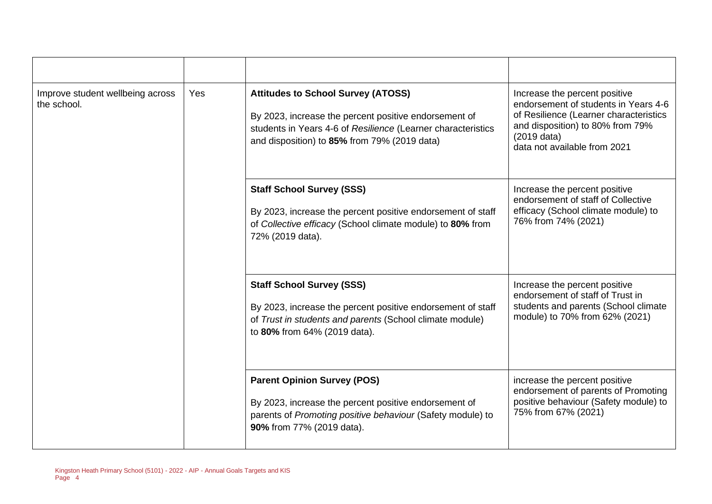| Improve student wellbeing across<br>the school. | Yes | <b>Attitudes to School Survey (ATOSS)</b><br>By 2023, increase the percent positive endorsement of<br>students in Years 4-6 of Resilience (Learner characteristics<br>and disposition) to 85% from 79% (2019 data) | Increase the percent positive<br>endorsement of students in Years 4-6<br>of Resilience (Learner characteristics<br>and disposition) to 80% from 79%<br>$(2019$ data)<br>data not available from 2021 |
|-------------------------------------------------|-----|--------------------------------------------------------------------------------------------------------------------------------------------------------------------------------------------------------------------|------------------------------------------------------------------------------------------------------------------------------------------------------------------------------------------------------|
|                                                 |     | <b>Staff School Survey (SSS)</b><br>By 2023, increase the percent positive endorsement of staff<br>of Collective efficacy (School climate module) to 80% from<br>72% (2019 data).                                  | Increase the percent positive<br>endorsement of staff of Collective<br>efficacy (School climate module) to<br>76% from 74% (2021)                                                                    |
|                                                 |     | <b>Staff School Survey (SSS)</b><br>By 2023, increase the percent positive endorsement of staff<br>of Trust in students and parents (School climate module)<br>to 80% from 64% (2019 data).                        | Increase the percent positive<br>endorsement of staff of Trust in<br>students and parents (School climate<br>module) to 70% from 62% (2021)                                                          |
|                                                 |     | <b>Parent Opinion Survey (POS)</b><br>By 2023, increase the percent positive endorsement of<br>parents of Promoting positive behaviour (Safety module) to<br>90% from 77% (2019 data).                             | increase the percent positive<br>endorsement of parents of Promoting<br>positive behaviour (Safety module) to<br>75% from 67% (2021)                                                                 |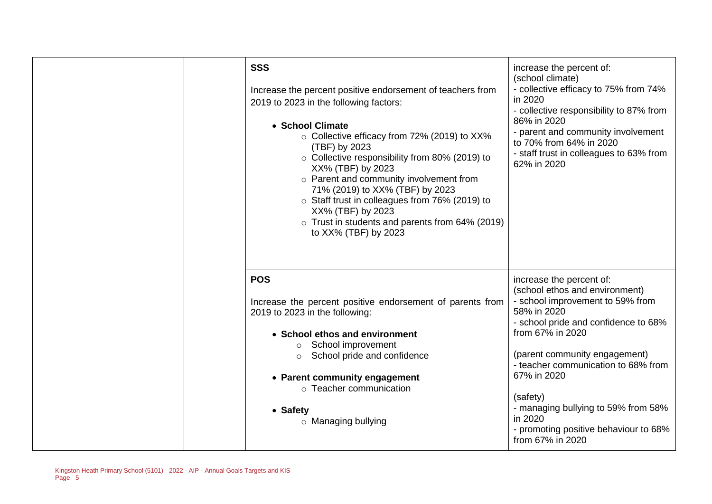| <b>SSS</b><br>Increase the percent positive endorsement of teachers from<br>2019 to 2023 in the following factors:<br>• School Climate<br>○ Collective efficacy from 72% (2019) to XX%<br>(TBF) by 2023<br>○ Collective responsibility from 80% (2019) to<br>XX% (TBF) by 2023<br>o Parent and community involvement from<br>71% (2019) to XX% (TBF) by 2023<br>o Staff trust in colleagues from 76% (2019) to<br>XX% (TBF) by 2023<br>o Trust in students and parents from 64% (2019)<br>to XX% (TBF) by 2023 | increase the percent of:<br>(school climate)<br>- collective efficacy to 75% from 74%<br>in 2020<br>- collective responsibility to 87% from<br>86% in 2020<br>- parent and community involvement<br>to 70% from 64% in 2020<br>- staff trust in colleagues to 63% from<br>62% in 2020                                                                                                       |
|----------------------------------------------------------------------------------------------------------------------------------------------------------------------------------------------------------------------------------------------------------------------------------------------------------------------------------------------------------------------------------------------------------------------------------------------------------------------------------------------------------------|---------------------------------------------------------------------------------------------------------------------------------------------------------------------------------------------------------------------------------------------------------------------------------------------------------------------------------------------------------------------------------------------|
| <b>POS</b><br>Increase the percent positive endorsement of parents from<br>2019 to 2023 in the following:<br>• School ethos and environment<br>o School improvement<br>School pride and confidence<br>$\circ$<br>• Parent community engagement<br>o Teacher communication<br>• Safety<br>$\circ$ Managing bullying                                                                                                                                                                                             | increase the percent of:<br>(school ethos and environment)<br>- school improvement to 59% from<br>58% in 2020<br>- school pride and confidence to 68%<br>from 67% in 2020<br>(parent community engagement)<br>- teacher communication to 68% from<br>67% in 2020<br>(safety)<br>- managing bullying to 59% from 58%<br>in 2020<br>- promoting positive behaviour to 68%<br>from 67% in 2020 |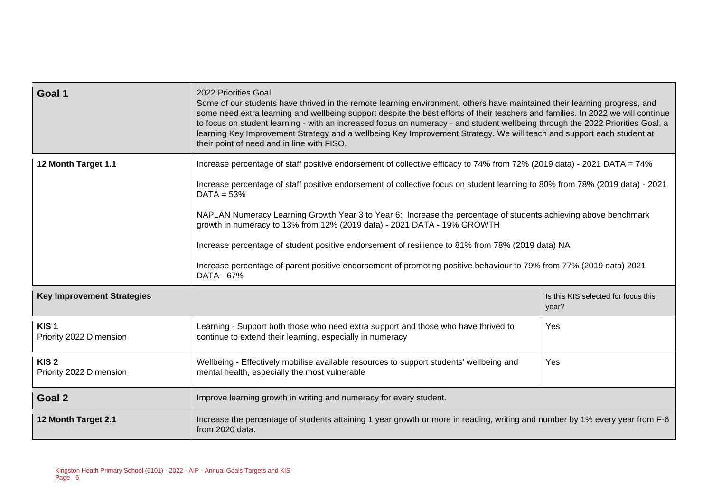| Goal 1                                      | 2022 Priorities Goal<br>Some of our students have thrived in the remote learning environment, others have maintained their learning progress, and<br>some need extra learning and wellbeing support despite the best efforts of their teachers and families. In 2022 we will continue<br>to focus on student learning - with an increased focus on numeracy - and student wellbeing through the 2022 Priorities Goal, a<br>learning Key Improvement Strategy and a wellbeing Key Improvement Strategy. We will teach and support each student at<br>their point of need and in line with FISO. |                                                                                                                              |  |  |  |
|---------------------------------------------|------------------------------------------------------------------------------------------------------------------------------------------------------------------------------------------------------------------------------------------------------------------------------------------------------------------------------------------------------------------------------------------------------------------------------------------------------------------------------------------------------------------------------------------------------------------------------------------------|------------------------------------------------------------------------------------------------------------------------------|--|--|--|
| 12 Month Target 1.1                         | Increase percentage of staff positive endorsement of collective efficacy to 74% from 72% (2019 data) - 2021 DATA = 74%                                                                                                                                                                                                                                                                                                                                                                                                                                                                         |                                                                                                                              |  |  |  |
|                                             | $DATA = 53%$                                                                                                                                                                                                                                                                                                                                                                                                                                                                                                                                                                                   | Increase percentage of staff positive endorsement of collective focus on student learning to 80% from 78% (2019 data) - 2021 |  |  |  |
|                                             | NAPLAN Numeracy Learning Growth Year 3 to Year 6: Increase the percentage of students achieving above benchmark<br>growth in numeracy to 13% from 12% (2019 data) - 2021 DATA - 19% GROWTH                                                                                                                                                                                                                                                                                                                                                                                                     |                                                                                                                              |  |  |  |
|                                             | Increase percentage of student positive endorsement of resilience to 81% from 78% (2019 data) NA                                                                                                                                                                                                                                                                                                                                                                                                                                                                                               |                                                                                                                              |  |  |  |
|                                             | Increase percentage of parent positive endorsement of promoting positive behaviour to 79% from 77% (2019 data) 2021<br>DATA - 67%                                                                                                                                                                                                                                                                                                                                                                                                                                                              |                                                                                                                              |  |  |  |
| <b>Key Improvement Strategies</b>           |                                                                                                                                                                                                                                                                                                                                                                                                                                                                                                                                                                                                | Is this KIS selected for focus this<br>year?                                                                                 |  |  |  |
| KIS <sub>1</sub><br>Priority 2022 Dimension | Learning - Support both those who need extra support and those who have thrived to<br>Yes<br>continue to extend their learning, especially in numeracy                                                                                                                                                                                                                                                                                                                                                                                                                                         |                                                                                                                              |  |  |  |
| KIS <sub>2</sub><br>Priority 2022 Dimension | Wellbeing - Effectively mobilise available resources to support students' wellbeing and<br>Yes<br>mental health, especially the most vulnerable                                                                                                                                                                                                                                                                                                                                                                                                                                                |                                                                                                                              |  |  |  |
| Goal 2                                      | Improve learning growth in writing and numeracy for every student.                                                                                                                                                                                                                                                                                                                                                                                                                                                                                                                             |                                                                                                                              |  |  |  |
| 12 Month Target 2.1                         | Increase the percentage of students attaining 1 year growth or more in reading, writing and number by 1% every year from F-6<br>from 2020 data.                                                                                                                                                                                                                                                                                                                                                                                                                                                |                                                                                                                              |  |  |  |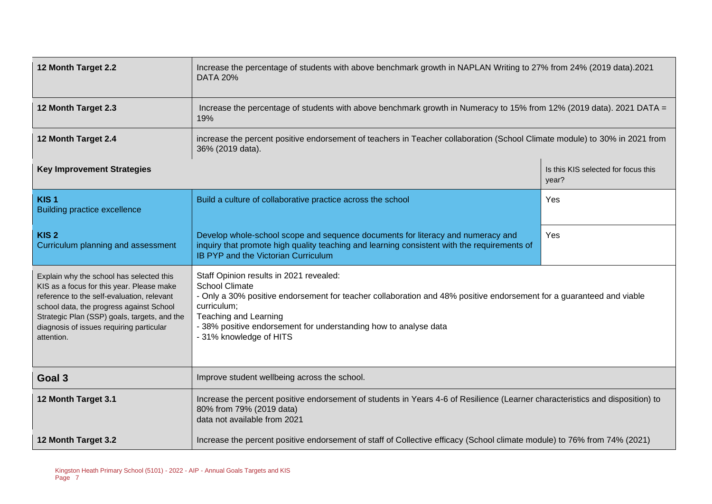| 12 Month Target 2.2                                                                                                                                                                                                                                                                       | Increase the percentage of students with above benchmark growth in NAPLAN Writing to 27% from 24% (2019 data).2021<br><b>DATA 20%</b>                                                                                                                                                                                           |                                              |  |  |
|-------------------------------------------------------------------------------------------------------------------------------------------------------------------------------------------------------------------------------------------------------------------------------------------|---------------------------------------------------------------------------------------------------------------------------------------------------------------------------------------------------------------------------------------------------------------------------------------------------------------------------------|----------------------------------------------|--|--|
| 12 Month Target 2.3                                                                                                                                                                                                                                                                       | Increase the percentage of students with above benchmark growth in Numeracy to 15% from 12% (2019 data). 2021 DATA =<br>19%                                                                                                                                                                                                     |                                              |  |  |
| 12 Month Target 2.4                                                                                                                                                                                                                                                                       | increase the percent positive endorsement of teachers in Teacher collaboration (School Climate module) to 30% in 2021 from<br>36% (2019 data).                                                                                                                                                                                  |                                              |  |  |
| <b>Key Improvement Strategies</b>                                                                                                                                                                                                                                                         |                                                                                                                                                                                                                                                                                                                                 | Is this KIS selected for focus this<br>year? |  |  |
| KIS <sub>1</sub><br><b>Building practice excellence</b>                                                                                                                                                                                                                                   | Build a culture of collaborative practice across the school                                                                                                                                                                                                                                                                     | Yes                                          |  |  |
| KIS <sub>2</sub><br>Curriculum planning and assessment                                                                                                                                                                                                                                    | Develop whole-school scope and sequence documents for literacy and numeracy and<br>Yes<br>inquiry that promote high quality teaching and learning consistent with the requirements of<br>IB PYP and the Victorian Curriculum                                                                                                    |                                              |  |  |
| Explain why the school has selected this<br>KIS as a focus for this year. Please make<br>reference to the self-evaluation, relevant<br>school data, the progress against School<br>Strategic Plan (SSP) goals, targets, and the<br>diagnosis of issues requiring particular<br>attention. | Staff Opinion results in 2021 revealed:<br><b>School Climate</b><br>- Only a 30% positive endorsement for teacher collaboration and 48% positive endorsement for a guaranteed and viable<br>curriculum;<br>Teaching and Learning<br>- 38% positive endorsement for understanding how to analyse data<br>- 31% knowledge of HITS |                                              |  |  |
| Goal 3                                                                                                                                                                                                                                                                                    | Improve student wellbeing across the school.                                                                                                                                                                                                                                                                                    |                                              |  |  |
| 12 Month Target 3.1                                                                                                                                                                                                                                                                       | Increase the percent positive endorsement of students in Years 4-6 of Resilience (Learner characteristics and disposition) to<br>80% from 79% (2019 data)<br>data not available from 2021                                                                                                                                       |                                              |  |  |
| 12 Month Target 3.2                                                                                                                                                                                                                                                                       | Increase the percent positive endorsement of staff of Collective efficacy (School climate module) to 76% from 74% (2021)                                                                                                                                                                                                        |                                              |  |  |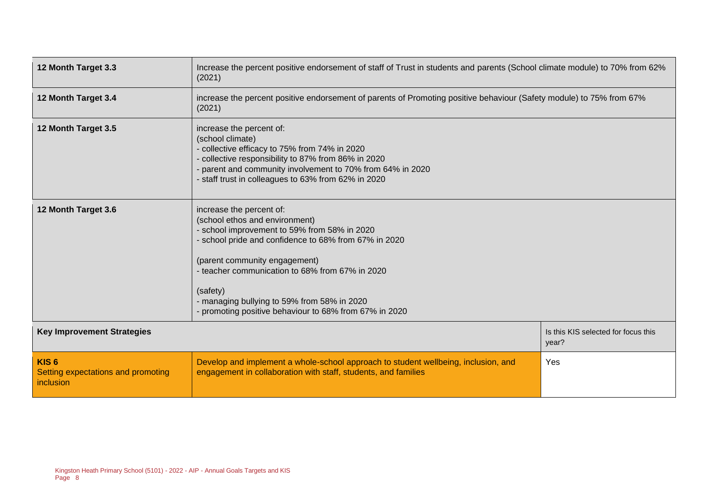| 12 Month Target 3.3                                                 | Increase the percent positive endorsement of staff of Trust in students and parents (School climate module) to 70% from 62%<br>(2021)                                                                                                                                                                                                                                        |                                              |  |
|---------------------------------------------------------------------|------------------------------------------------------------------------------------------------------------------------------------------------------------------------------------------------------------------------------------------------------------------------------------------------------------------------------------------------------------------------------|----------------------------------------------|--|
| 12 Month Target 3.4                                                 | increase the percent positive endorsement of parents of Promoting positive behaviour (Safety module) to 75% from 67%<br>(2021)                                                                                                                                                                                                                                               |                                              |  |
| 12 Month Target 3.5                                                 | increase the percent of:<br>(school climate)<br>- collective efficacy to 75% from 74% in 2020<br>- collective responsibility to 87% from 86% in 2020<br>- parent and community involvement to 70% from 64% in 2020<br>- staff trust in colleagues to 63% from 62% in 2020                                                                                                    |                                              |  |
| 12 Month Target 3.6                                                 | increase the percent of:<br>(school ethos and environment)<br>- school improvement to 59% from 58% in 2020<br>- school pride and confidence to 68% from 67% in 2020<br>(parent community engagement)<br>- teacher communication to 68% from 67% in 2020<br>(safety)<br>- managing bullying to 59% from 58% in 2020<br>- promoting positive behaviour to 68% from 67% in 2020 |                                              |  |
| <b>Key Improvement Strategies</b>                                   |                                                                                                                                                                                                                                                                                                                                                                              | Is this KIS selected for focus this<br>year? |  |
| KIS <sub>6</sub><br>Setting expectations and promoting<br>inclusion | Develop and implement a whole-school approach to student wellbeing, inclusion, and<br>Yes<br>engagement in collaboration with staff, students, and families                                                                                                                                                                                                                  |                                              |  |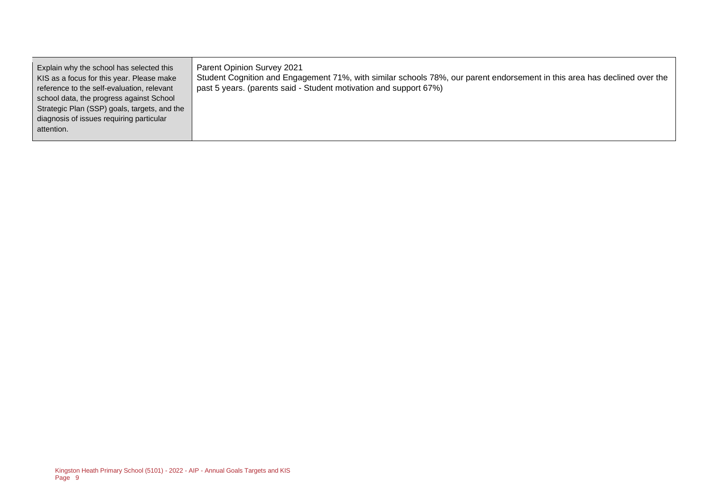| Explain why the school has selected this<br>KIS as a focus for this year. Please make<br>reference to the self-evaluation, relevant<br>school data, the progress against School<br>Strategic Plan (SSP) goals, targets, and the | <b>Parent Opinion Survey 2021</b><br>Student Cognition and Engagement 71%, with similar schools 78%, our parent endorsement in this area has declined over the<br>past 5 years. (parents said - Student motivation and support 67%) |
|---------------------------------------------------------------------------------------------------------------------------------------------------------------------------------------------------------------------------------|-------------------------------------------------------------------------------------------------------------------------------------------------------------------------------------------------------------------------------------|
| diagnosis of issues requiring particular<br>attention.                                                                                                                                                                          |                                                                                                                                                                                                                                     |
|                                                                                                                                                                                                                                 |                                                                                                                                                                                                                                     |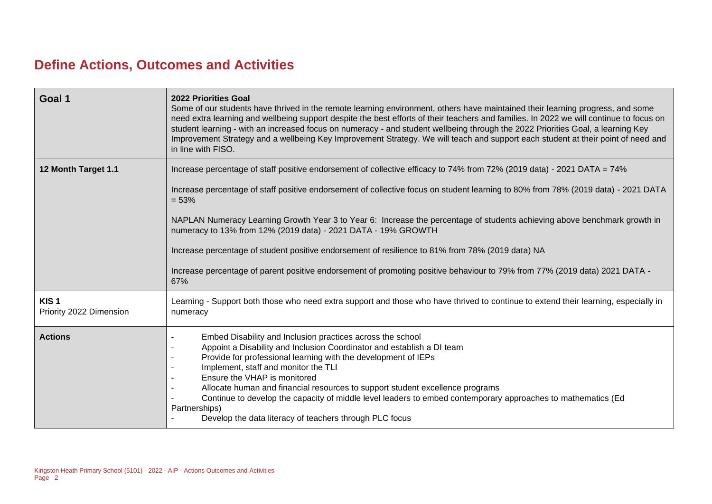## **Define Actions, Outcomes and Activities**

| Goal 1                                      | <b>2022 Priorities Goal</b><br>Some of our students have thrived in the remote learning environment, others have maintained their learning progress, and some<br>need extra learning and wellbeing support despite the best efforts of their teachers and families. In 2022 we will continue to focus on<br>student learning - with an increased focus on numeracy - and student wellbeing through the 2022 Priorities Goal, a learning Key<br>Improvement Strategy and a wellbeing Key Improvement Strategy. We will teach and support each student at their point of need and<br>in line with FISO. |  |  |  |  |
|---------------------------------------------|-------------------------------------------------------------------------------------------------------------------------------------------------------------------------------------------------------------------------------------------------------------------------------------------------------------------------------------------------------------------------------------------------------------------------------------------------------------------------------------------------------------------------------------------------------------------------------------------------------|--|--|--|--|
| 12 Month Target 1.1                         | Increase percentage of staff positive endorsement of collective efficacy to 74% from 72% (2019 data) - 2021 DATA = 74%<br>Increase percentage of staff positive endorsement of collective focus on student learning to 80% from 78% (2019 data) - 2021 DATA<br>$= 53%$                                                                                                                                                                                                                                                                                                                                |  |  |  |  |
|                                             | NAPLAN Numeracy Learning Growth Year 3 to Year 6: Increase the percentage of students achieving above benchmark growth in<br>numeracy to 13% from 12% (2019 data) - 2021 DATA - 19% GROWTH                                                                                                                                                                                                                                                                                                                                                                                                            |  |  |  |  |
|                                             | Increase percentage of student positive endorsement of resilience to 81% from 78% (2019 data) NA                                                                                                                                                                                                                                                                                                                                                                                                                                                                                                      |  |  |  |  |
|                                             | Increase percentage of parent positive endorsement of promoting positive behaviour to 79% from 77% (2019 data) 2021 DATA -<br>67%                                                                                                                                                                                                                                                                                                                                                                                                                                                                     |  |  |  |  |
| KIS <sub>1</sub><br>Priority 2022 Dimension | Learning - Support both those who need extra support and those who have thrived to continue to extend their learning, especially in<br>numeracy                                                                                                                                                                                                                                                                                                                                                                                                                                                       |  |  |  |  |
| <b>Actions</b>                              | Embed Disability and Inclusion practices across the school<br>Appoint a Disability and Inclusion Coordinator and establish a DI team<br>Provide for professional learning with the development of IEPs<br>Implement, staff and monitor the TLI<br>Ensure the VHAP is monitored<br>Allocate human and financial resources to support student excellence programs<br>Continue to develop the capacity of middle level leaders to embed contemporary approaches to mathematics (Ed<br>Partnerships)<br>Develop the data literacy of teachers through PLC focus                                           |  |  |  |  |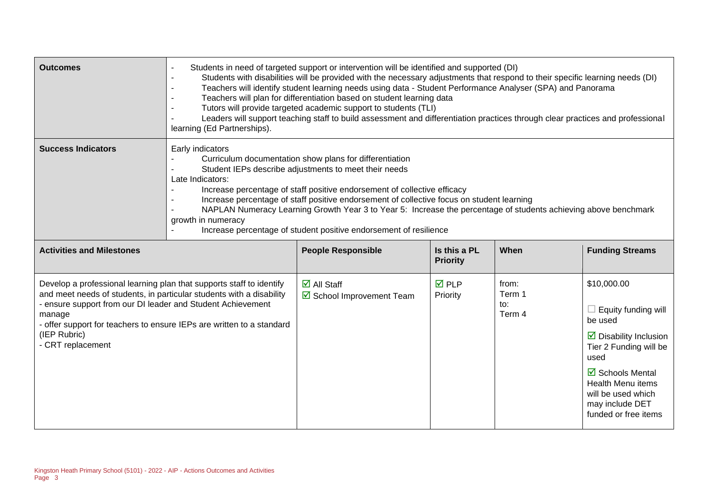| <b>Outcomes</b>                                                                                                                                                                                                                                                                                                                     | Students in need of targeted support or intervention will be identified and supported (DI)<br>Students with disabilities will be provided with the necessary adjustments that respond to their specific learning needs (DI)<br>Teachers will identify student learning needs using data - Student Performance Analyser (SPA) and Panorama<br>Teachers will plan for differentiation based on student learning data<br>Tutors will provide targeted academic support to students (TLI)<br>Leaders will support teaching staff to build assessment and differentiation practices through clear practices and professional<br>learning (Ed Partnerships). |                                                              |                                 |                                  |                                                                                                                                                                                                                                                     |
|-------------------------------------------------------------------------------------------------------------------------------------------------------------------------------------------------------------------------------------------------------------------------------------------------------------------------------------|--------------------------------------------------------------------------------------------------------------------------------------------------------------------------------------------------------------------------------------------------------------------------------------------------------------------------------------------------------------------------------------------------------------------------------------------------------------------------------------------------------------------------------------------------------------------------------------------------------------------------------------------------------|--------------------------------------------------------------|---------------------------------|----------------------------------|-----------------------------------------------------------------------------------------------------------------------------------------------------------------------------------------------------------------------------------------------------|
| <b>Success Indicators</b>                                                                                                                                                                                                                                                                                                           | Early indicators<br>Curriculum documentation show plans for differentiation<br>Student IEPs describe adjustments to meet their needs<br>Late Indicators:<br>Increase percentage of staff positive endorsement of collective efficacy<br>Increase percentage of staff positive endorsement of collective focus on student learning<br>NAPLAN Numeracy Learning Growth Year 3 to Year 5: Increase the percentage of students achieving above benchmark<br>growth in numeracy<br>Increase percentage of student positive endorsement of resilience                                                                                                        |                                                              |                                 |                                  |                                                                                                                                                                                                                                                     |
| <b>Activities and Milestones</b>                                                                                                                                                                                                                                                                                                    |                                                                                                                                                                                                                                                                                                                                                                                                                                                                                                                                                                                                                                                        | <b>People Responsible</b>                                    | Is this a PL<br><b>Priority</b> | When                             | <b>Funding Streams</b>                                                                                                                                                                                                                              |
| Develop a professional learning plan that supports staff to identify<br>and meet needs of students, in particular students with a disability<br>- ensure support from our DI leader and Student Achievement<br>manage<br>- offer support for teachers to ensure IEPs are written to a standard<br>(IEP Rubric)<br>- CRT replacement |                                                                                                                                                                                                                                                                                                                                                                                                                                                                                                                                                                                                                                                        | $\overline{\mathsf{M}}$ All Staff<br>School Improvement Team | $\overline{M}$ PLP<br>Priority  | from:<br>Term 1<br>to:<br>Term 4 | \$10,000.00<br>$\Box$ Equity funding will<br>be used<br>$\triangleright$ Disability Inclusion<br>Tier 2 Funding will be<br>used<br>$\boxtimes$ Schools Mental<br>Health Menu items<br>will be used which<br>may include DET<br>funded or free items |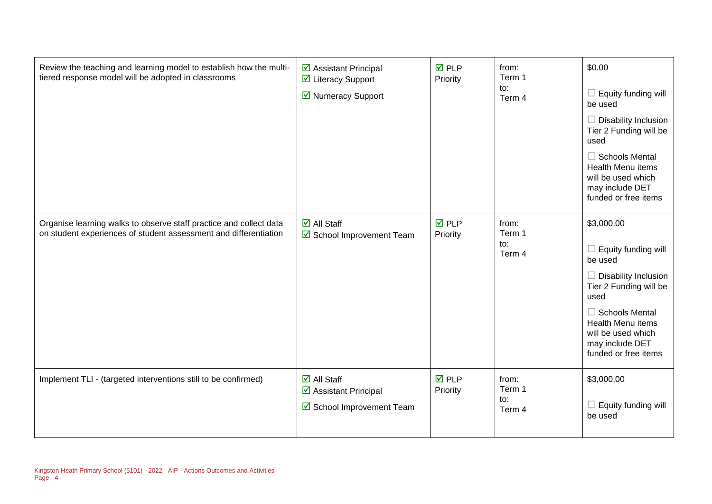| Review the teaching and learning model to establish how the multi-<br>tiered response model will be adopted in classrooms              | $\triangleright$ Assistant Principal<br>☑ Literacy Support<br>■ Numeracy Support        | $\overline{M}$ PLP<br>Priority | from:<br>Term 1<br>to:<br>Term 4 | \$0.00<br>$\Box$ Equity funding will<br>be used<br>$\Box$ Disability Inclusion<br>Tier 2 Funding will be<br>used<br>$\Box$ Schools Mental<br><b>Health Menu items</b><br>will be used which<br>may include DET<br>funded or free items     |
|----------------------------------------------------------------------------------------------------------------------------------------|-----------------------------------------------------------------------------------------|--------------------------------|----------------------------------|--------------------------------------------------------------------------------------------------------------------------------------------------------------------------------------------------------------------------------------------|
| Organise learning walks to observe staff practice and collect data<br>on student experiences of student assessment and differentiation | $\overline{\blacksquare}$ All Staff<br>☑ School Improvement Team                        | $\overline{M}$ PLP<br>Priority | from:<br>Term 1<br>to:<br>Term 4 | \$3,000.00<br>$\Box$ Equity funding will<br>be used<br>$\Box$ Disability Inclusion<br>Tier 2 Funding will be<br>used<br>$\Box$ Schools Mental<br><b>Health Menu items</b><br>will be used which<br>may include DET<br>funded or free items |
| Implement TLI - (targeted interventions still to be confirmed)                                                                         | $\overline{\mathsf{d}}$ All Staff<br>☑ Assistant Principal<br>☑ School Improvement Team | $\overline{M}$ PLP<br>Priority | from:<br>Term 1<br>to:<br>Term 4 | \$3,000.00<br>$\Box$ Equity funding will<br>be used                                                                                                                                                                                        |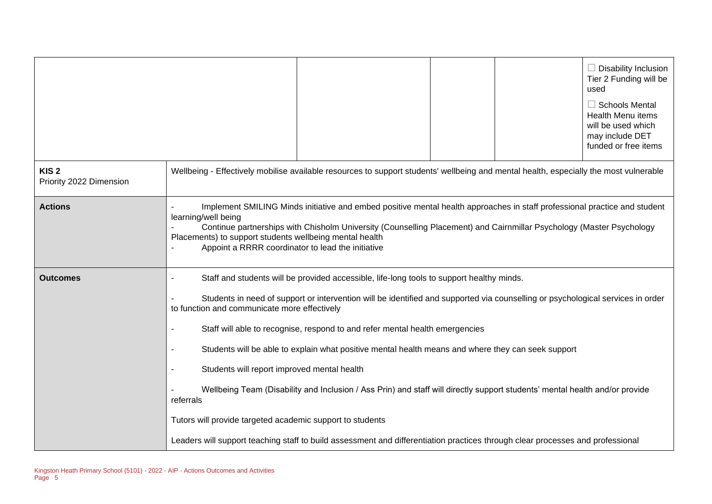|                                             |                                                                                                                                                                                                                                                                                                         |                                                                                                                                                                                                                                                                                                                                                                                                                                                                                                                                                   |  | $\Box$ Disability Inclusion<br>Tier 2 Funding will be<br>used<br>$\Box$ Schools Mental<br>Health Menu items<br>will be used which<br>may include DET<br>funded or free items |
|---------------------------------------------|---------------------------------------------------------------------------------------------------------------------------------------------------------------------------------------------------------------------------------------------------------------------------------------------------------|---------------------------------------------------------------------------------------------------------------------------------------------------------------------------------------------------------------------------------------------------------------------------------------------------------------------------------------------------------------------------------------------------------------------------------------------------------------------------------------------------------------------------------------------------|--|------------------------------------------------------------------------------------------------------------------------------------------------------------------------------|
| KIS <sub>2</sub><br>Priority 2022 Dimension | Wellbeing - Effectively mobilise available resources to support students' wellbeing and mental health, especially the most vulnerable                                                                                                                                                                   |                                                                                                                                                                                                                                                                                                                                                                                                                                                                                                                                                   |  |                                                                                                                                                                              |
| <b>Actions</b>                              | learning/well being<br>Placements) to support students wellbeing mental health<br>Appoint a RRRR coordinator to lead the initiative                                                                                                                                                                     | Implement SMILING Minds initiative and embed positive mental health approaches in staff professional practice and student<br>Continue partnerships with Chisholm University (Counselling Placement) and Cairnmillar Psychology (Master Psychology                                                                                                                                                                                                                                                                                                 |  |                                                                                                                                                                              |
| <b>Outcomes</b>                             | to function and communicate more effectively<br>Students will report improved mental health<br>referrals<br>Tutors will provide targeted academic support to students<br>Leaders will support teaching staff to build assessment and differentiation practices through clear processes and professional | Staff and students will be provided accessible, life-long tools to support healthy minds.<br>Students in need of support or intervention will be identified and supported via counselling or psychological services in order<br>Staff will able to recognise, respond to and refer mental health emergencies<br>Students will be able to explain what positive mental health means and where they can seek support<br>Wellbeing Team (Disability and Inclusion / Ass Prin) and staff will directly support students' mental health and/or provide |  |                                                                                                                                                                              |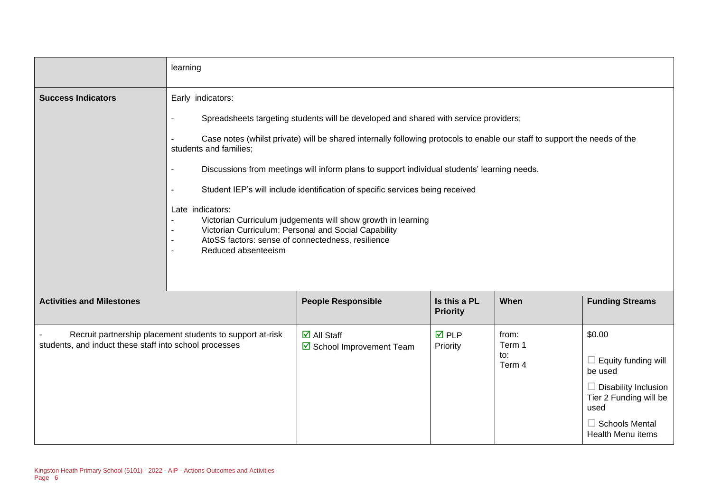|                                                        | learning                                                                                                                                                                                                                                          |                                                                                                                                                                                                                                                                                                                                                                                                                                                                                                                           |                                 |                                  |                                                                                                                                                                |
|--------------------------------------------------------|---------------------------------------------------------------------------------------------------------------------------------------------------------------------------------------------------------------------------------------------------|---------------------------------------------------------------------------------------------------------------------------------------------------------------------------------------------------------------------------------------------------------------------------------------------------------------------------------------------------------------------------------------------------------------------------------------------------------------------------------------------------------------------------|---------------------------------|----------------------------------|----------------------------------------------------------------------------------------------------------------------------------------------------------------|
| <b>Success Indicators</b>                              | Early indicators:<br>$\overline{\phantom{a}}$<br>students and families;<br>$\sim$<br>$\sim$<br>Late indicators:<br>$\blacksquare$<br>AtoSS factors: sense of connectedness, resilience<br>$\blacksquare$<br>Reduced absenteeism<br>$\blacksquare$ | Spreadsheets targeting students will be developed and shared with service providers;<br>Case notes (whilst private) will be shared internally following protocols to enable our staff to support the needs of the<br>Discussions from meetings will inform plans to support individual students' learning needs.<br>Student IEP's will include identification of specific services being received<br>Victorian Curriculum judgements will show growth in learning<br>Victorian Curriculum: Personal and Social Capability |                                 |                                  |                                                                                                                                                                |
| <b>Activities and Milestones</b>                       |                                                                                                                                                                                                                                                   | <b>People Responsible</b>                                                                                                                                                                                                                                                                                                                                                                                                                                                                                                 | Is this a PL<br><b>Priority</b> | When                             | <b>Funding Streams</b>                                                                                                                                         |
| students, and induct these staff into school processes | Recruit partnership placement students to support at-risk                                                                                                                                                                                         | $\overline{\blacksquare}$ All Staff<br>School Improvement Team                                                                                                                                                                                                                                                                                                                                                                                                                                                            | $\overline{M}$ PLP<br>Priority  | from:<br>Term 1<br>to:<br>Term 4 | \$0.00<br>Equity funding will<br>be used<br><b>Disability Inclusion</b><br>Tier 2 Funding will be<br>used<br>$\Box$ Schools Mental<br><b>Health Menu items</b> |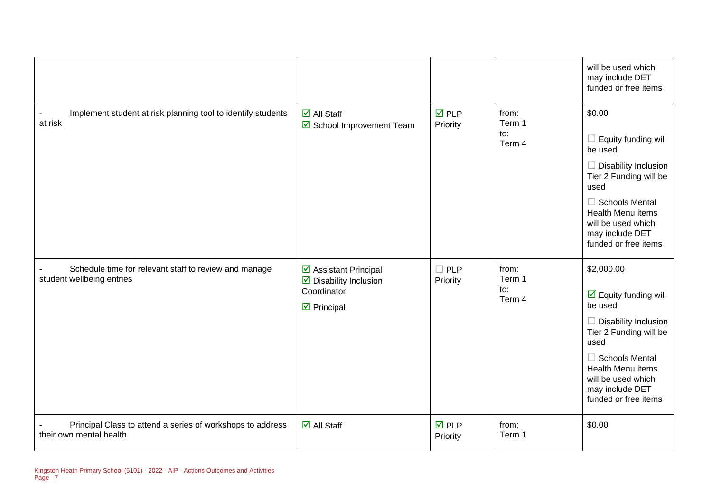|                                                                                       |                                                                                                             |                                |                                  | will be used which<br>may include DET<br>funded or free items                                                                                                                                                                                        |
|---------------------------------------------------------------------------------------|-------------------------------------------------------------------------------------------------------------|--------------------------------|----------------------------------|------------------------------------------------------------------------------------------------------------------------------------------------------------------------------------------------------------------------------------------------------|
| Implement student at risk planning tool to identify students<br>at risk               | $\overline{\blacksquare}$ All Staff<br>School Improvement Team                                              | $\overline{M}$ PLP<br>Priority | from:<br>Term 1<br>to:<br>Term 4 | \$0.00<br>Equity funding will<br>be used<br><b>Disability Inclusion</b><br>Tier 2 Funding will be<br>used<br>$\Box$ Schools Mental<br>Health Menu items<br>will be used which<br>may include DET<br>funded or free items                             |
| Schedule time for relevant staff to review and manage<br>student wellbeing entries    | ☑ Assistant Principal<br>$\triangleright$ Disability Inclusion<br>Coordinator<br>$\triangleright$ Principal | $\square$ PLP<br>Priority      | from:<br>Term 1<br>to:<br>Term 4 | \$2,000.00<br>$\overline{\mathbf{y}}$ Equity funding will<br>be used<br>$\Box$ Disability Inclusion<br>Tier 2 Funding will be<br>used<br>$\Box$ Schools Mental<br>Health Menu items<br>will be used which<br>may include DET<br>funded or free items |
| Principal Class to attend a series of workshops to address<br>their own mental health | $\overline{\blacksquare}$ All Staff                                                                         | <b>ØPLP</b><br>Priority        | from:<br>Term 1                  | \$0.00                                                                                                                                                                                                                                               |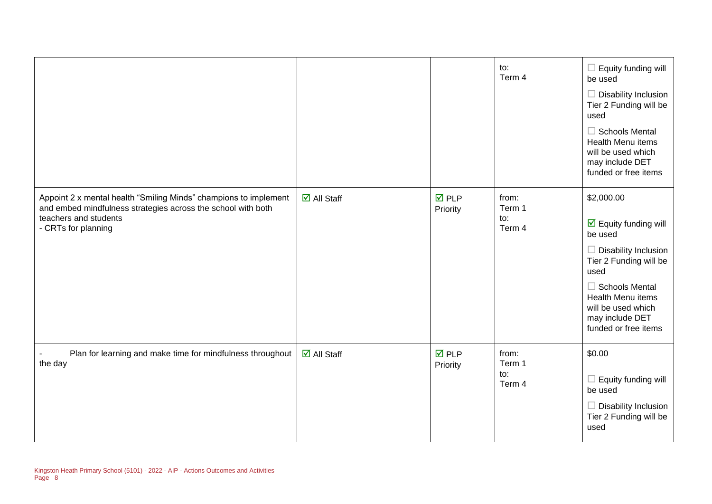|                                                                                                                                                                                  |                                     |                                | to:<br>Term 4                    | Equity funding will<br>be used<br>Disability Inclusion<br>Tier 2 Funding will be<br>used<br><b>Schools Mental</b><br>$\Box$<br><b>Health Menu items</b><br>will be used which<br>may include DET<br>funded or free items                             |
|----------------------------------------------------------------------------------------------------------------------------------------------------------------------------------|-------------------------------------|--------------------------------|----------------------------------|------------------------------------------------------------------------------------------------------------------------------------------------------------------------------------------------------------------------------------------------------|
| Appoint 2 x mental health "Smiling Minds" champions to implement<br>and embed mindfulness strategies across the school with both<br>teachers and students<br>- CRTs for planning | $\overline{\blacksquare}$ All Staff | $\overline{M}$ PLP<br>Priority | from:<br>Term 1<br>to:<br>Term 4 | \$2,000.00<br>$\overline{\mathbf{y}}$ Equity funding will<br>be used<br>Disability Inclusion<br>Tier 2 Funding will be<br>used<br>$\Box$ Schools Mental<br><b>Health Menu items</b><br>will be used which<br>may include DET<br>funded or free items |
| Plan for learning and make time for mindfulness throughout<br>the day                                                                                                            | $\overline{\mathbf{M}}$ All Staff   | $\overline{M}$ PLP<br>Priority | from:<br>Term 1<br>to:<br>Term 4 | \$0.00<br>Equity funding will<br>$\Box$<br>be used<br>Disability Inclusion<br>Tier 2 Funding will be<br>used                                                                                                                                         |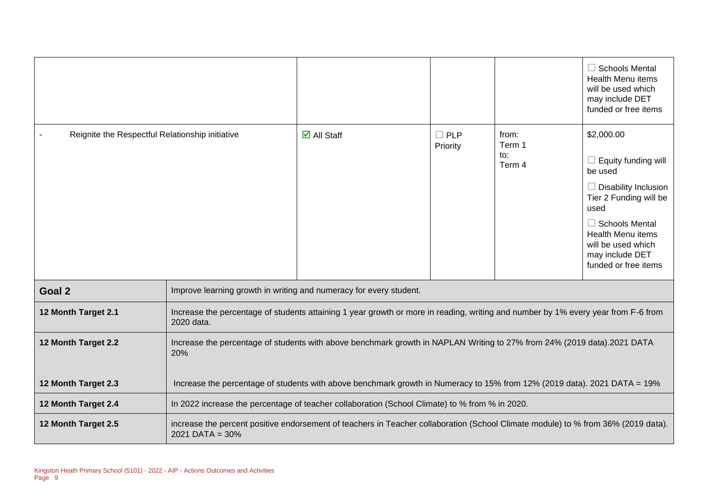|                                                 |                                                                                                                                |                                                                                                                                   |                           |                                  | $\Box$ Schools Mental<br><b>Health Menu items</b><br>will be used which<br>may include DET<br>funded or free items                                                                                          |
|-------------------------------------------------|--------------------------------------------------------------------------------------------------------------------------------|-----------------------------------------------------------------------------------------------------------------------------------|---------------------------|----------------------------------|-------------------------------------------------------------------------------------------------------------------------------------------------------------------------------------------------------------|
| Reignite the Respectful Relationship initiative |                                                                                                                                | $\overline{\mathbf{M}}$ All Staff                                                                                                 | $\square$ PLP<br>Priority | from:<br>Term 1<br>to:<br>Term 4 | \$2,000.00<br>$\Box$ Equity funding will<br>be used<br>$\Box$ Disability Inclusion<br>Tier 2 Funding will be<br>used<br>$\Box$ Schools Mental<br>Health Menu items<br>will be used which<br>may include DET |
|                                                 |                                                                                                                                |                                                                                                                                   |                           |                                  | funded or free items                                                                                                                                                                                        |
| Goal 2                                          | Improve learning growth in writing and numeracy for every student.                                                             |                                                                                                                                   |                           |                                  |                                                                                                                                                                                                             |
| 12 Month Target 2.1                             | 2020 data.                                                                                                                     | Increase the percentage of students attaining 1 year growth or more in reading, writing and number by 1% every year from F-6 from |                           |                                  |                                                                                                                                                                                                             |
| 12 Month Target 2.2                             | Increase the percentage of students with above benchmark growth in NAPLAN Writing to 27% from 24% (2019 data).2021 DATA<br>20% |                                                                                                                                   |                           |                                  |                                                                                                                                                                                                             |
| 12 Month Target 2.3                             |                                                                                                                                | Increase the percentage of students with above benchmark growth in Numeracy to 15% from 12% (2019 data). 2021 DATA = 19%          |                           |                                  |                                                                                                                                                                                                             |
| 12 Month Target 2.4                             | In 2022 increase the percentage of teacher collaboration (School Climate) to % from % in 2020.                                 |                                                                                                                                   |                           |                                  |                                                                                                                                                                                                             |
| 12 Month Target 2.5                             | $2021$ DATA = $30\%$                                                                                                           | increase the percent positive endorsement of teachers in Teacher collaboration (School Climate module) to % from 36% (2019 data). |                           |                                  |                                                                                                                                                                                                             |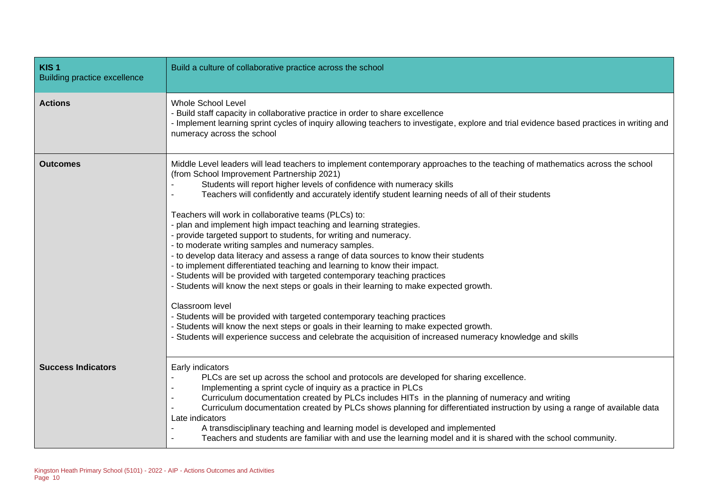| KIS <sub>1</sub><br><b>Building practice excellence</b> | Build a culture of collaborative practice across the school                                                                                                                                                                                                                                                                                                                                                                                                                                                                                                                                                                                                                                                                                                                                                                                                                                                                                                                                                                                                                                                                                                                                                                                                                |
|---------------------------------------------------------|----------------------------------------------------------------------------------------------------------------------------------------------------------------------------------------------------------------------------------------------------------------------------------------------------------------------------------------------------------------------------------------------------------------------------------------------------------------------------------------------------------------------------------------------------------------------------------------------------------------------------------------------------------------------------------------------------------------------------------------------------------------------------------------------------------------------------------------------------------------------------------------------------------------------------------------------------------------------------------------------------------------------------------------------------------------------------------------------------------------------------------------------------------------------------------------------------------------------------------------------------------------------------|
| <b>Actions</b>                                          | <b>Whole School Level</b><br>- Build staff capacity in collaborative practice in order to share excellence<br>- Implement learning sprint cycles of inquiry allowing teachers to investigate, explore and trial evidence based practices in writing and<br>numeracy across the school                                                                                                                                                                                                                                                                                                                                                                                                                                                                                                                                                                                                                                                                                                                                                                                                                                                                                                                                                                                      |
| <b>Outcomes</b>                                         | Middle Level leaders will lead teachers to implement contemporary approaches to the teaching of mathematics across the school<br>(from School Improvement Partnership 2021)<br>Students will report higher levels of confidence with numeracy skills<br>Teachers will confidently and accurately identify student learning needs of all of their students<br>Teachers will work in collaborative teams (PLCs) to:<br>- plan and implement high impact teaching and learning strategies.<br>- provide targeted support to students, for writing and numeracy.<br>- to moderate writing samples and numeracy samples.<br>- to develop data literacy and assess a range of data sources to know their students<br>- to implement differentiated teaching and learning to know their impact.<br>- Students will be provided with targeted contemporary teaching practices<br>- Students will know the next steps or goals in their learning to make expected growth.<br>Classroom level<br>- Students will be provided with targeted contemporary teaching practices<br>- Students will know the next steps or goals in their learning to make expected growth.<br>- Students will experience success and celebrate the acquisition of increased numeracy knowledge and skills |
| <b>Success Indicators</b>                               | Early indicators<br>PLCs are set up across the school and protocols are developed for sharing excellence.<br>Implementing a sprint cycle of inquiry as a practice in PLCs<br>Curriculum documentation created by PLCs includes HITs in the planning of numeracy and writing<br>Curriculum documentation created by PLCs shows planning for differentiated instruction by using a range of available data<br>Late indicators<br>A transdisciplinary teaching and learning model is developed and implemented<br>Teachers and students are familiar with and use the learning model and it is shared with the school community.                                                                                                                                                                                                                                                                                                                                                                                                                                                                                                                                                                                                                                              |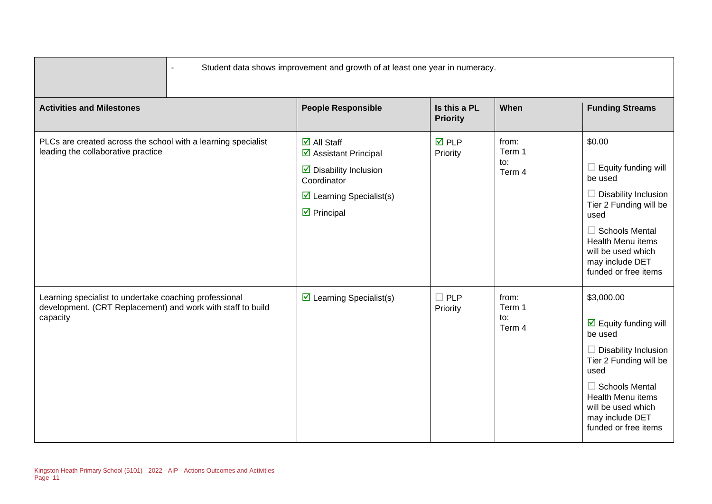|                                                                                                                                   | Student data shows improvement and growth of at least one year in numeracy.                                                                                                                                       |                                 |                                  |                                                                                                                                                                                                                                              |  |  |
|-----------------------------------------------------------------------------------------------------------------------------------|-------------------------------------------------------------------------------------------------------------------------------------------------------------------------------------------------------------------|---------------------------------|----------------------------------|----------------------------------------------------------------------------------------------------------------------------------------------------------------------------------------------------------------------------------------------|--|--|
| <b>Activities and Milestones</b>                                                                                                  | <b>People Responsible</b>                                                                                                                                                                                         | Is this a PL<br><b>Priority</b> | When                             | <b>Funding Streams</b>                                                                                                                                                                                                                       |  |  |
| PLCs are created across the school with a learning specialist<br>leading the collaborative practice                               | $\overline{\mathbf{M}}$ All Staff<br>$\overline{\mathbf{z}}$ Assistant Principal<br>$\triangleright$ Disability Inclusion<br>Coordinator<br>$\triangleright$ Learning Specialist(s)<br>$\triangleright$ Principal | $\overline{M}$ PLP<br>Priority  | from:<br>Term 1<br>to:<br>Term 4 | \$0.00<br>Equity funding will<br>$\Box$<br>be used<br>Disability Inclusion<br>Tier 2 Funding will be<br>used<br>$\Box$ Schools Mental<br><b>Health Menu items</b><br>will be used which<br>may include DET<br>funded or free items           |  |  |
| Learning specialist to undertake coaching professional<br>development. (CRT Replacement) and work with staff to build<br>capacity | $\triangleright$ Learning Specialist(s)                                                                                                                                                                           | $\Box$ PLP<br>Priority          | from:<br>Term 1<br>to:<br>Term 4 | \$3,000.00<br>$\triangledown$ Equity funding will<br>be used<br>$\Box$ Disability Inclusion<br>Tier 2 Funding will be<br>used<br>$\Box$ Schools Mental<br>Health Menu items<br>will be used which<br>may include DET<br>funded or free items |  |  |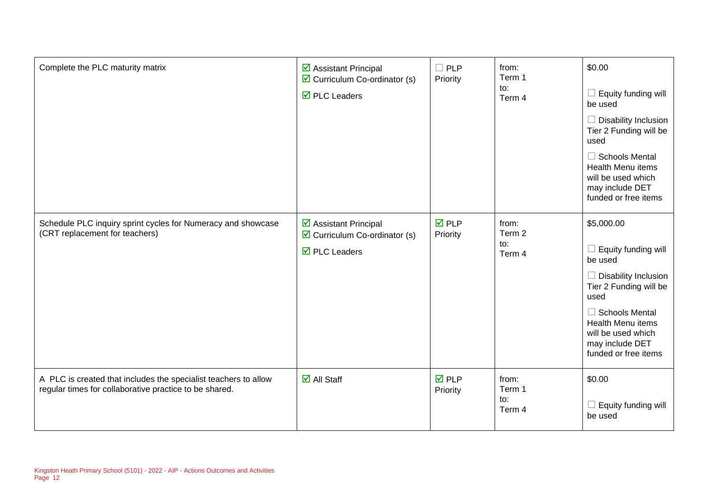| Complete the PLC maturity matrix                                                                                          | ☑ Assistant Principal<br>$\overline{\mathbf{y}}$ Curriculum Co-ordinator (s)<br>$\overline{\boxtimes}$ PLC Leaders | $\Box$ PLP<br>Priority         | from:<br>Term 1<br>to:<br>Term 4 | \$0.00<br>Equity funding will<br>be used<br><b>Disability Inclusion</b><br>Tier 2 Funding will be<br>used<br>$\Box$ Schools Mental<br><b>Health Menu items</b><br>will be used which<br>may include DET<br>funded or free items     |
|---------------------------------------------------------------------------------------------------------------------------|--------------------------------------------------------------------------------------------------------------------|--------------------------------|----------------------------------|-------------------------------------------------------------------------------------------------------------------------------------------------------------------------------------------------------------------------------------|
| Schedule PLC inquiry sprint cycles for Numeracy and showcase<br>(CRT replacement for teachers)                            | ☑ Assistant Principal<br>$\triangleright$ Curriculum Co-ordinator (s)<br>$\overline{\boxtimes}$ PLC Leaders        | $\overline{M}$ PLP<br>Priority | from:<br>Term 2<br>to:<br>Term 4 | \$5,000.00<br>Equity funding will<br>be used<br>$\Box$ Disability Inclusion<br>Tier 2 Funding will be<br>used<br>$\Box$ Schools Mental<br><b>Health Menu items</b><br>will be used which<br>may include DET<br>funded or free items |
| A PLC is created that includes the specialist teachers to allow<br>regular times for collaborative practice to be shared. | $\overline{\mathsf{d}}$ All Staff                                                                                  | $\overline{M}$ PLP<br>Priority | from:<br>Term 1<br>to:<br>Term 4 | \$0.00<br>Equity funding will<br>be used                                                                                                                                                                                            |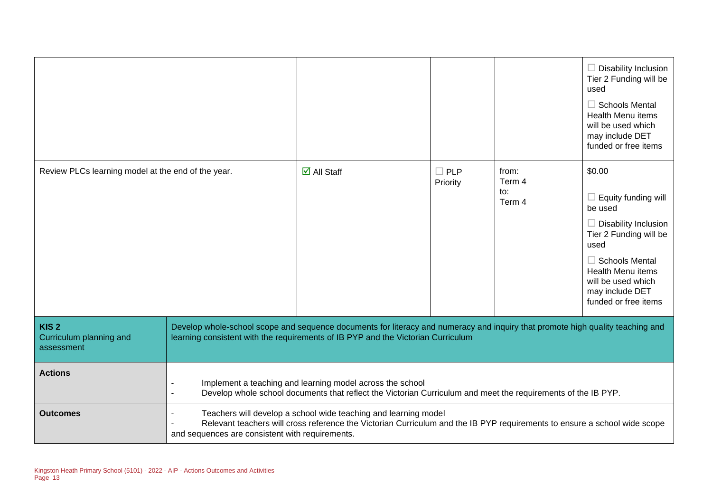|                                                           |                                                                                                                                                                                                                                                 |                                   |                        |                                  | $\Box$ Disability Inclusion<br>Tier 2 Funding will be<br>used<br>$\Box$ Schools Mental<br><b>Health Menu items</b><br>will be used which<br>may include DET<br>funded or free items                                                    |
|-----------------------------------------------------------|-------------------------------------------------------------------------------------------------------------------------------------------------------------------------------------------------------------------------------------------------|-----------------------------------|------------------------|----------------------------------|----------------------------------------------------------------------------------------------------------------------------------------------------------------------------------------------------------------------------------------|
| Review PLCs learning model at the end of the year.        |                                                                                                                                                                                                                                                 | $\overline{\mathbf{M}}$ All Staff | $\Box$ PLP<br>Priority | from:<br>Term 4<br>to:<br>Term 4 | \$0.00<br>$\Box$ Equity funding will<br>be used<br>$\Box$ Disability Inclusion<br>Tier 2 Funding will be<br>used<br>$\Box$ Schools Mental<br><b>Health Menu items</b><br>will be used which<br>may include DET<br>funded or free items |
| KIS <sub>2</sub><br>Curriculum planning and<br>assessment | Develop whole-school scope and sequence documents for literacy and numeracy and inquiry that promote high quality teaching and<br>learning consistent with the requirements of IB PYP and the Victorian Curriculum                              |                                   |                        |                                  |                                                                                                                                                                                                                                        |
| <b>Actions</b>                                            | Implement a teaching and learning model across the school<br>Develop whole school documents that reflect the Victorian Curriculum and meet the requirements of the IB PYP.                                                                      |                                   |                        |                                  |                                                                                                                                                                                                                                        |
| <b>Outcomes</b>                                           | Teachers will develop a school wide teaching and learning model<br>Relevant teachers will cross reference the Victorian Curriculum and the IB PYP requirements to ensure a school wide scope<br>and sequences are consistent with requirements. |                                   |                        |                                  |                                                                                                                                                                                                                                        |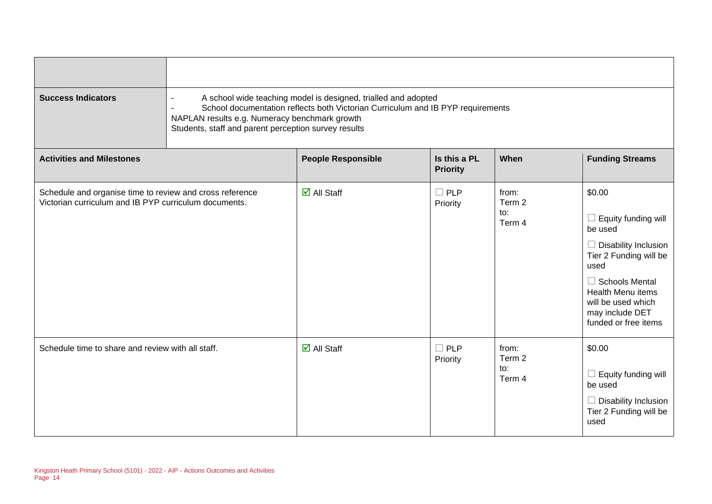| <b>Success Indicators</b>                                                                                         | A school wide teaching model is designed, trialled and adopted<br>School documentation reflects both Victorian Curriculum and IB PYP requirements<br>NAPLAN results e.g. Numeracy benchmark growth<br>Students, staff and parent perception survey results |                                   |                                 |                                  |                                                                                                                                                                                                                                        |
|-------------------------------------------------------------------------------------------------------------------|------------------------------------------------------------------------------------------------------------------------------------------------------------------------------------------------------------------------------------------------------------|-----------------------------------|---------------------------------|----------------------------------|----------------------------------------------------------------------------------------------------------------------------------------------------------------------------------------------------------------------------------------|
| <b>Activities and Milestones</b>                                                                                  |                                                                                                                                                                                                                                                            | <b>People Responsible</b>         | Is this a PL<br><b>Priority</b> | When                             | <b>Funding Streams</b>                                                                                                                                                                                                                 |
| Schedule and organise time to review and cross reference<br>Victorian curriculum and IB PYP curriculum documents. |                                                                                                                                                                                                                                                            | $\overline{\mathbf{d}}$ All Staff | $\Box$ PLP<br>Priority          | from:<br>Term 2<br>to:<br>Term 4 | \$0.00<br>$\Box$ Equity funding will<br>be used<br>$\Box$ Disability Inclusion<br>Tier 2 Funding will be<br>used<br>$\Box$ Schools Mental<br><b>Health Menu items</b><br>will be used which<br>may include DET<br>funded or free items |
| Schedule time to share and review with all staff.                                                                 |                                                                                                                                                                                                                                                            | $\overline{\mathsf{d}}$ All Staff | $\Box$ PLP<br>Priority          | from:<br>Term 2<br>to:<br>Term 4 | \$0.00<br>$\Box$ Equity funding will<br>be used<br>$\Box$ Disability Inclusion<br>Tier 2 Funding will be<br>used                                                                                                                       |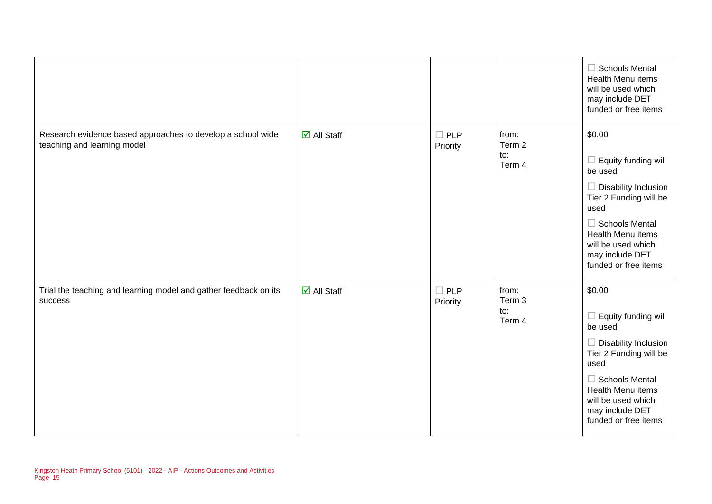|                                                                                            |                                     |                        |                                  | $\Box$ Schools Mental<br><b>Health Menu items</b><br>will be used which<br>may include DET<br>funded or free items                                                                                                                                                    |
|--------------------------------------------------------------------------------------------|-------------------------------------|------------------------|----------------------------------|-----------------------------------------------------------------------------------------------------------------------------------------------------------------------------------------------------------------------------------------------------------------------|
| Research evidence based approaches to develop a school wide<br>teaching and learning model | $\overline{\blacksquare}$ All Staff | $\Box$ PLP<br>Priority | from:<br>Term 2<br>to:<br>Term 4 | \$0.00<br>Equity funding will<br>$\overline{\phantom{a}}$<br>be used<br><b>Disability Inclusion</b><br>$\Box$<br>Tier 2 Funding will be<br>used<br>$\Box$ Schools Mental<br><b>Health Menu items</b><br>will be used which<br>may include DET<br>funded or free items |
| Trial the teaching and learning model and gather feedback on its<br>success                | $\overline{\mathbf{M}}$ All Staff   | $\Box$ PLP<br>Priority | from:<br>Term 3<br>to:<br>Term 4 | \$0.00<br>Equity funding will<br>$\overline{\phantom{a}}$<br>be used<br>$\Box$ Disability Inclusion<br>Tier 2 Funding will be<br>used<br>$\Box$ Schools Mental<br>Health Menu items<br>will be used which<br>may include DET<br>funded or free items                  |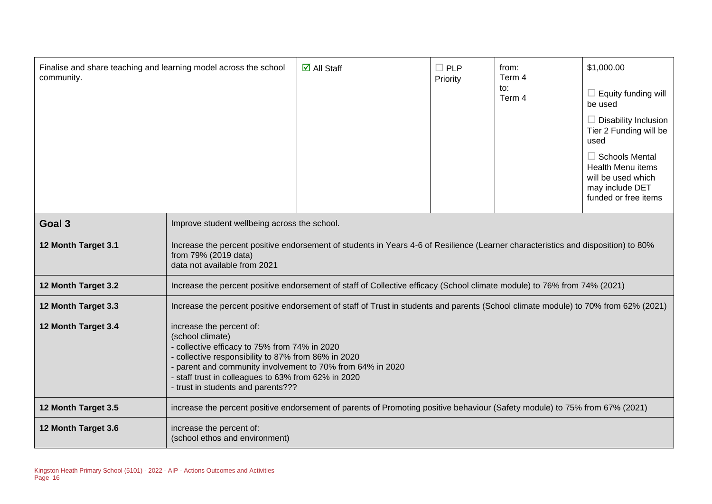| Finalise and share teaching and learning model across the school<br>community. |                                                                                                                                                                                                                                                                                                             | $\overline{\mathbf{M}}$ All Staff                                                                                                  | $\Box$ PLP<br>Priority | from:<br>Term 4<br>to:<br>Term 4 | \$1,000.00<br>$\Box$ Equity funding will<br>be used<br>$\Box$ Disability Inclusion<br>Tier 2 Funding will be<br>used<br>$\Box$ Schools Mental<br><b>Health Menu items</b><br>will be used which<br>may include DET<br>funded or free items |
|--------------------------------------------------------------------------------|-------------------------------------------------------------------------------------------------------------------------------------------------------------------------------------------------------------------------------------------------------------------------------------------------------------|------------------------------------------------------------------------------------------------------------------------------------|------------------------|----------------------------------|--------------------------------------------------------------------------------------------------------------------------------------------------------------------------------------------------------------------------------------------|
| Goal 3                                                                         | Improve student wellbeing across the school.                                                                                                                                                                                                                                                                |                                                                                                                                    |                        |                                  |                                                                                                                                                                                                                                            |
| 12 Month Target 3.1                                                            | Increase the percent positive endorsement of students in Years 4-6 of Resilience (Learner characteristics and disposition) to 80%<br>from 79% (2019 data)<br>data not available from 2021                                                                                                                   |                                                                                                                                    |                        |                                  |                                                                                                                                                                                                                                            |
| 12 Month Target 3.2                                                            |                                                                                                                                                                                                                                                                                                             | Increase the percent positive endorsement of staff of Collective efficacy (School climate module) to 76% from 74% (2021)           |                        |                                  |                                                                                                                                                                                                                                            |
| 12 Month Target 3.3                                                            |                                                                                                                                                                                                                                                                                                             | Increase the percent positive endorsement of staff of Trust in students and parents (School climate module) to 70% from 62% (2021) |                        |                                  |                                                                                                                                                                                                                                            |
| 12 Month Target 3.4                                                            | increase the percent of:<br>(school climate)<br>- collective efficacy to 75% from 74% in 2020<br>collective responsibility to 87% from 86% in 2020<br>parent and community involvement to 70% from 64% in 2020<br>- staff trust in colleagues to 63% from 62% in 2020<br>- trust in students and parents??? |                                                                                                                                    |                        |                                  |                                                                                                                                                                                                                                            |
| 12 Month Target 3.5                                                            | increase the percent positive endorsement of parents of Promoting positive behaviour (Safety module) to 75% from 67% (2021)                                                                                                                                                                                 |                                                                                                                                    |                        |                                  |                                                                                                                                                                                                                                            |
| 12 Month Target 3.6                                                            | increase the percent of:<br>(school ethos and environment)                                                                                                                                                                                                                                                  |                                                                                                                                    |                        |                                  |                                                                                                                                                                                                                                            |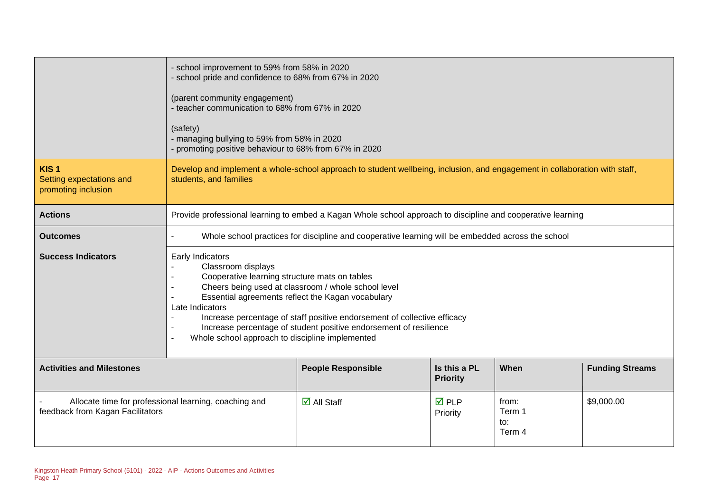|                                                                                           | - school improvement to 59% from 58% in 2020<br>- school pride and confidence to 68% from 67% in 2020<br>(parent community engagement)<br>- teacher communication to 68% from 67% in 2020<br>(safety)<br>- managing bullying to 59% from 58% in 2020<br>- promoting positive behaviour to 68% from 67% in 2020                                                                                                             |                                                                                                             |                                |                                  |            |
|-------------------------------------------------------------------------------------------|----------------------------------------------------------------------------------------------------------------------------------------------------------------------------------------------------------------------------------------------------------------------------------------------------------------------------------------------------------------------------------------------------------------------------|-------------------------------------------------------------------------------------------------------------|--------------------------------|----------------------------------|------------|
| KIS <sub>1</sub><br>Setting expectations and<br>promoting inclusion                       | Develop and implement a whole-school approach to student wellbeing, inclusion, and engagement in collaboration with staff,<br>students, and families                                                                                                                                                                                                                                                                       |                                                                                                             |                                |                                  |            |
| <b>Actions</b>                                                                            |                                                                                                                                                                                                                                                                                                                                                                                                                            | Provide professional learning to embed a Kagan Whole school approach to discipline and cooperative learning |                                |                                  |            |
| <b>Outcomes</b>                                                                           | $\sim$                                                                                                                                                                                                                                                                                                                                                                                                                     | Whole school practices for discipline and cooperative learning will be embedded across the school           |                                |                                  |            |
| <b>Success Indicators</b>                                                                 | Early Indicators<br>Classroom displays<br>Cooperative learning structure mats on tables<br>Cheers being used at classroom / whole school level<br>Essential agreements reflect the Kagan vocabulary<br>Late Indicators<br>Increase percentage of staff positive endorsement of collective efficacy<br>Increase percentage of student positive endorsement of resilience<br>Whole school approach to discipline implemented |                                                                                                             |                                |                                  |            |
| <b>Activities and Milestones</b>                                                          | Is this a PL<br><b>Funding Streams</b><br><b>People Responsible</b><br>When<br><b>Priority</b>                                                                                                                                                                                                                                                                                                                             |                                                                                                             |                                |                                  |            |
| Allocate time for professional learning, coaching and<br>feedback from Kagan Facilitators |                                                                                                                                                                                                                                                                                                                                                                                                                            | $\overline{\mathbf{d}}$ All Staff                                                                           | $\overline{M}$ PLP<br>Priority | from:<br>Term 1<br>to:<br>Term 4 | \$9,000.00 |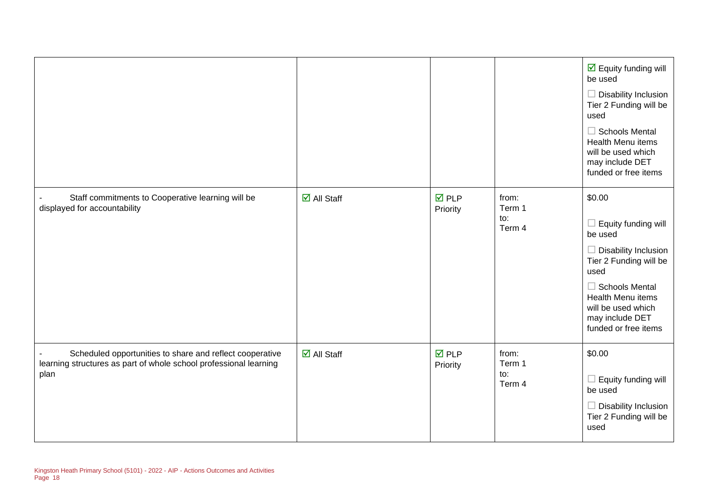|                                                                                                                                       |                       |                                |                                  | $\overline{\mathbf{y}}$ Equity funding will<br>be used<br>$\Box$ Disability Inclusion<br>Tier 2 Funding will be<br>used<br>$\Box$ Schools Mental<br><b>Health Menu items</b><br>will be used which<br>may include DET<br>funded or free items |
|---------------------------------------------------------------------------------------------------------------------------------------|-----------------------|--------------------------------|----------------------------------|-----------------------------------------------------------------------------------------------------------------------------------------------------------------------------------------------------------------------------------------------|
| Staff commitments to Cooperative learning will be<br>displayed for accountability                                                     | $\boxdot$ All Staff   | $\overline{M}$ PLP<br>Priority | from:<br>Term 1<br>to:<br>Term 4 | \$0.00<br>Equity funding will<br>be used<br>Disability Inclusion<br>Tier 2 Funding will be<br>used<br>$\Box$ Schools Mental<br><b>Health Menu items</b><br>will be used which<br>may include DET<br>funded or free items                      |
| Scheduled opportunities to share and reflect cooperative<br>learning structures as part of whole school professional learning<br>plan | $\boxtimes$ All Staff | $\n  D$<br>Priority            | from:<br>Term 1<br>to:<br>Term 4 | \$0.00<br>Equity funding will<br>$\Box$<br>be used<br>Disability Inclusion<br>Tier 2 Funding will be<br>used                                                                                                                                  |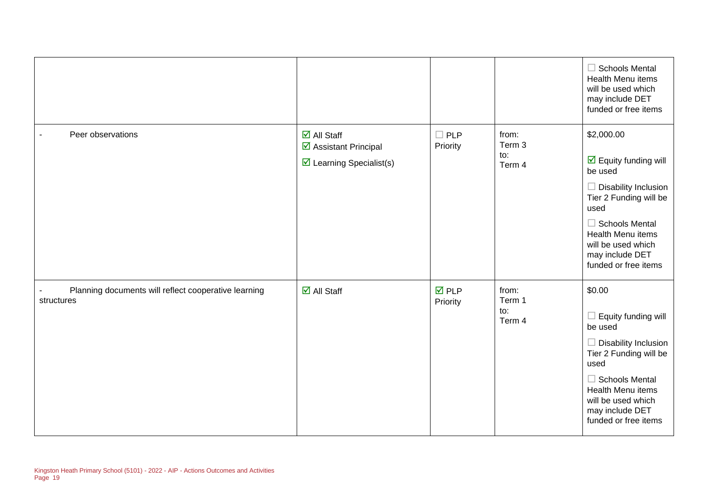|                                                                    |                                                                                                       |                                |                                  | $\Box$ Schools Mental<br>Health Menu items<br>will be used which<br>may include DET<br>funded or free items                                                                                                                                                 |
|--------------------------------------------------------------------|-------------------------------------------------------------------------------------------------------|--------------------------------|----------------------------------|-------------------------------------------------------------------------------------------------------------------------------------------------------------------------------------------------------------------------------------------------------------|
| Peer observations                                                  | $\overline{\mathbf{M}}$ All Staff<br>☑ Assistant Principal<br>$\triangleright$ Learning Specialist(s) | <b>PLP</b><br>Priority         | from:<br>Term 3<br>to:<br>Term 4 | \$2,000.00<br>$\overline{\mathbf{M}}$ Equity funding will<br>be used<br>$\Box$ Disability Inclusion<br>Tier 2 Funding will be<br>used<br>$\Box$ Schools Mental<br><b>Health Menu items</b><br>will be used which<br>may include DET<br>funded or free items |
| Planning documents will reflect cooperative learning<br>structures | $\overline{\mathbf{M}}$ All Staff                                                                     | $\overline{M}$ PLP<br>Priority | from:<br>Term 1<br>to:<br>Term 4 | \$0.00<br>Equity funding will<br>ш<br>be used<br>$\Box$ Disability Inclusion<br>Tier 2 Funding will be<br>used<br>$\Box$ Schools Mental<br>Health Menu items<br>will be used which<br>may include DET<br>funded or free items                               |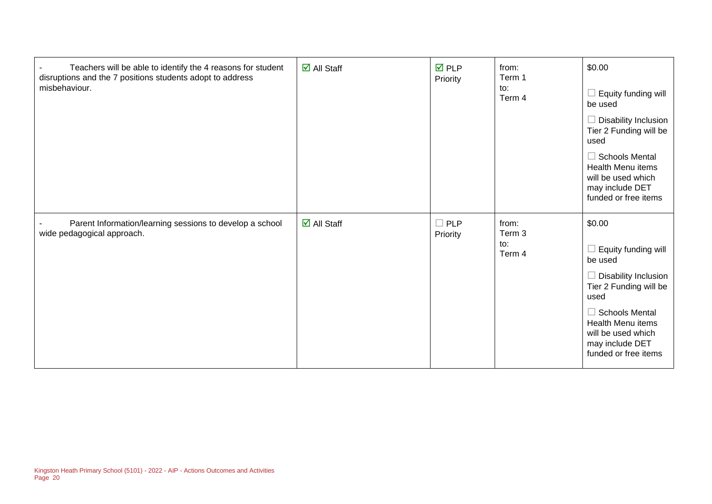| Teachers will be able to identify the 4 reasons for student<br>disruptions and the 7 positions students adopt to address<br>misbehaviour. | $\boxtimes$ All Staff | $\nabla$ PLP<br>Priority | from:<br>Term 1<br>to:<br>Term 4 | \$0.00<br>Equity funding will<br>$\Box$<br>be used<br>Disability Inclusion<br>Tier 2 Funding will be<br>used<br>$\Box$ Schools Mental<br><b>Health Menu items</b><br>will be used which<br>may include DET<br>funded or free items |
|-------------------------------------------------------------------------------------------------------------------------------------------|-----------------------|--------------------------|----------------------------------|------------------------------------------------------------------------------------------------------------------------------------------------------------------------------------------------------------------------------------|
| Parent Information/learning sessions to develop a school<br>wide pedagogical approach.                                                    | $\boxtimes$ All Staff | $\Box$ PLP<br>Priority   | from:<br>Term 3<br>to:<br>Term 4 | \$0.00<br>Equity funding will<br>be used<br>Disability Inclusion<br>Tier 2 Funding will be<br>used<br>$\Box$ Schools Mental<br><b>Health Menu items</b><br>will be used which<br>may include DET<br>funded or free items           |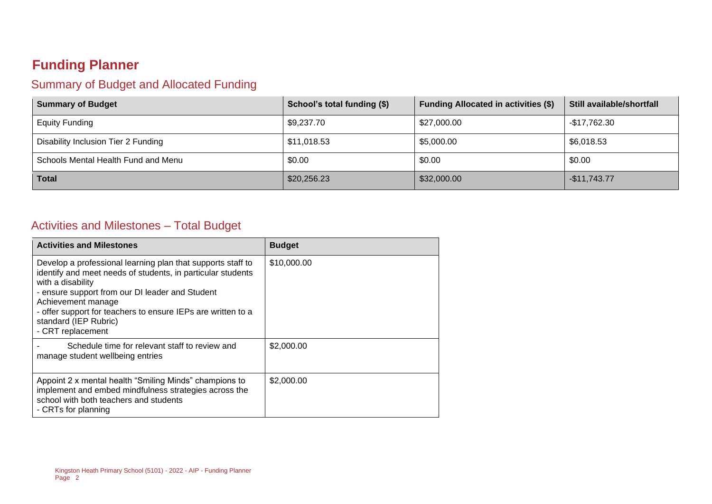## **Funding Planner**

#### Summary of Budget and Allocated Funding

| <b>Summary of Budget</b>            | School's total funding (\$) | <b>Funding Allocated in activities (\$)</b> | Still available/shortfall |
|-------------------------------------|-----------------------------|---------------------------------------------|---------------------------|
| <b>Equity Funding</b>               | \$9,237.70                  | \$27,000.00                                 | -\$17,762.30              |
| Disability Inclusion Tier 2 Funding | \$11,018.53                 | \$5,000.00                                  | \$6,018.53                |
| Schools Mental Health Fund and Menu | \$0.00                      | \$0.00                                      | \$0.00                    |
| <b>Total</b>                        | \$20,256.23                 | \$32,000.00                                 | $-$11,743.77$             |

#### Activities and Milestones – Total Budget

| <b>Activities and Milestones</b>                                                                                                                                                                                                                                                                                                       | <b>Budget</b> |
|----------------------------------------------------------------------------------------------------------------------------------------------------------------------------------------------------------------------------------------------------------------------------------------------------------------------------------------|---------------|
| Develop a professional learning plan that supports staff to<br>identify and meet needs of students, in particular students<br>with a disability<br>- ensure support from our DI leader and Student<br>Achievement manage<br>- offer support for teachers to ensure IEPs are written to a<br>standard (IEP Rubric)<br>- CRT replacement | \$10,000.00   |
| Schedule time for relevant staff to review and<br>manage student wellbeing entries                                                                                                                                                                                                                                                     | \$2,000.00    |
| Appoint 2 x mental health "Smiling Minds" champions to<br>implement and embed mindfulness strategies across the<br>school with both teachers and students<br>- CRTs for planning                                                                                                                                                       | \$2,000.00    |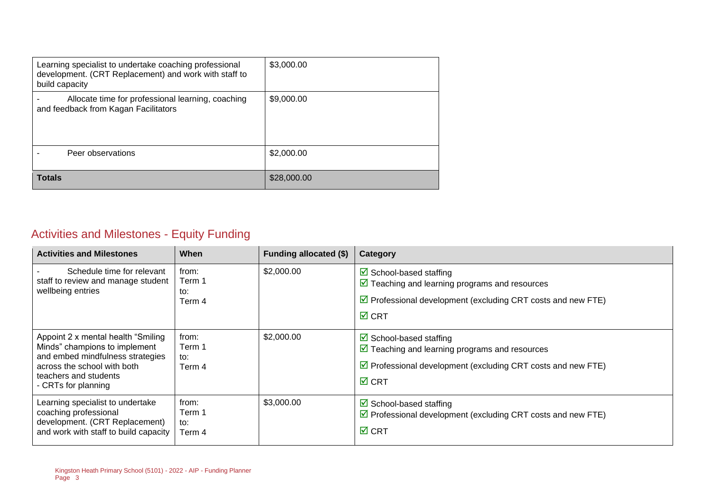| Learning specialist to undertake coaching professional<br>development. (CRT Replacement) and work with staff to<br>build capacity | \$3,000.00  |
|-----------------------------------------------------------------------------------------------------------------------------------|-------------|
| Allocate time for professional learning, coaching<br>and feedback from Kagan Facilitators                                         | \$9,000.00  |
| Peer observations                                                                                                                 | \$2,000.00  |
| <b>Totals</b>                                                                                                                     | \$28,000.00 |

## Activities and Milestones - Equity Funding

| <b>Activities and Milestones</b>                                                                                                                                                        | When                             | Funding allocated (\$) | Category                                                                                                                                                                                                   |
|-----------------------------------------------------------------------------------------------------------------------------------------------------------------------------------------|----------------------------------|------------------------|------------------------------------------------------------------------------------------------------------------------------------------------------------------------------------------------------------|
| Schedule time for relevant<br>staff to review and manage student<br>wellbeing entries                                                                                                   | from:<br>Term 1<br>to:<br>Term 4 | \$2,000.00             | $\triangleright$ School-based staffing<br>$\triangledown$ Teaching and learning programs and resources<br>$\triangledown$ Professional development (excluding CRT costs and new FTE)<br>$\overline{M}$ CRT |
| Appoint 2 x mental health "Smiling"<br>Minds" champions to implement<br>and embed mindfulness strategies<br>across the school with both<br>teachers and students<br>- CRTs for planning | from:<br>Term 1<br>to:<br>Term 4 | \$2,000.00             | $\boxtimes$ School-based staffing<br>$\triangledown$ Teaching and learning programs and resources<br>$\triangledown$ Professional development (excluding CRT costs and new FTE)<br>$\boxtimes$ CRT         |
| Learning specialist to undertake<br>coaching professional<br>development. (CRT Replacement)<br>and work with staff to build capacity                                                    | from:<br>Term 1<br>to:<br>Term 4 | \$3,000.00             | $\triangleright$ School-based staffing<br>$\triangledown$ Professional development (excluding CRT costs and new FTE)<br>$\boxtimes$ CRT                                                                    |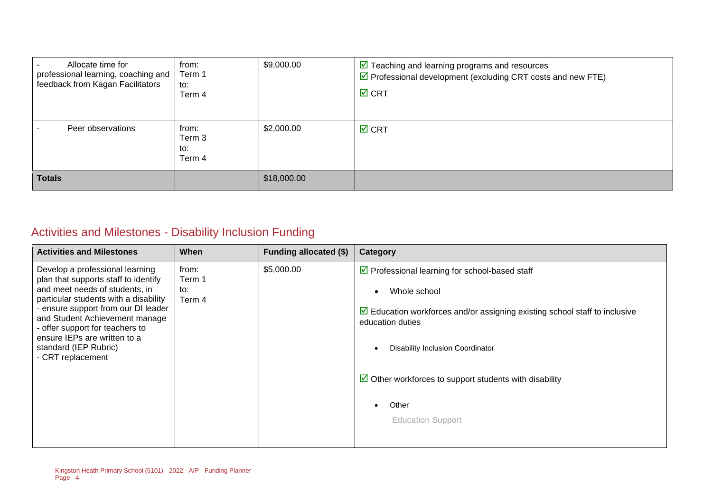| Allocate time for<br>professional learning, coaching and<br>feedback from Kagan Facilitators | from:<br>Term 1<br>to:<br>Term 4 | \$9,000.00  | $\triangledown$ Teaching and learning programs and resources<br>$\triangledown$ Professional development (excluding CRT costs and new FTE)<br>$\overline{M}$ CRT |
|----------------------------------------------------------------------------------------------|----------------------------------|-------------|------------------------------------------------------------------------------------------------------------------------------------------------------------------|
| Peer observations                                                                            | from:<br>Term 3<br>to:<br>Term 4 | \$2,000.00  | $\overline{M}$ CRT                                                                                                                                               |
| <b>Totals</b>                                                                                |                                  | \$18,000.00 |                                                                                                                                                                  |

## Activities and Milestones - Disability Inclusion Funding

| <b>Activities and Milestones</b>                                                                                                                                                                                                                                                                                                             | <b>When</b>                      | Funding allocated (\$) | Category                                                                                                                                                                                                                                                                                                                                                                 |
|----------------------------------------------------------------------------------------------------------------------------------------------------------------------------------------------------------------------------------------------------------------------------------------------------------------------------------------------|----------------------------------|------------------------|--------------------------------------------------------------------------------------------------------------------------------------------------------------------------------------------------------------------------------------------------------------------------------------------------------------------------------------------------------------------------|
| Develop a professional learning<br>plan that supports staff to identify<br>and meet needs of students, in<br>particular students with a disability<br>- ensure support from our DI leader<br>and Student Achievement manage<br>- offer support for teachers to<br>ensure IEPs are written to a<br>standard (IEP Rubric)<br>- CRT replacement | from:<br>Term 1<br>to:<br>Term 4 | \$5,000.00             | ☑ Professional learning for school-based staff<br>Whole school<br>$\bullet$<br>$\triangleright$ Education workforces and/or assigning existing school staff to inclusive<br>education duties<br>Disability Inclusion Coordinator<br>$\bullet$<br>$\triangleright$ Other workforces to support students with disability<br>Other<br>$\bullet$<br><b>Education Support</b> |
|                                                                                                                                                                                                                                                                                                                                              |                                  |                        |                                                                                                                                                                                                                                                                                                                                                                          |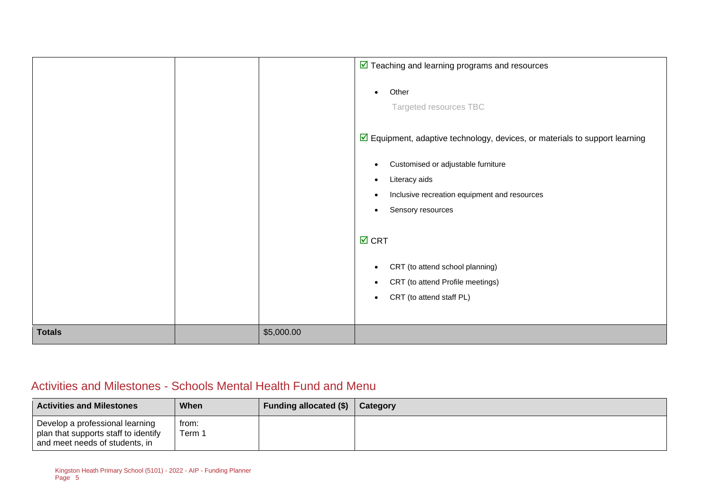|               |            | $\triangleright$ Teaching and learning programs and resources                              |
|---------------|------------|--------------------------------------------------------------------------------------------|
|               |            | Other<br>$\bullet$<br>Targeted resources TBC                                               |
|               |            | $\triangleright$ Equipment, adaptive technology, devices, or materials to support learning |
|               |            | Customised or adjustable furniture<br>٠<br>Literacy aids<br>٠                              |
|               |            | Inclusive recreation equipment and resources<br>٠                                          |
|               |            | Sensory resources<br>$\bullet$                                                             |
|               |            | $\overline{M}$ CRT                                                                         |
|               |            | CRT (to attend school planning)<br>$\bullet$                                               |
|               |            | CRT (to attend Profile meetings)<br>$\bullet$                                              |
|               |            | CRT (to attend staff PL)<br>$\bullet$                                                      |
| <b>Totals</b> | \$5,000.00 |                                                                                            |

#### Activities and Milestones - Schools Mental Health Fund and Menu

| <b>Activities and Milestones</b>                                                                          | When            | Funding allocated (\$) | Category |
|-----------------------------------------------------------------------------------------------------------|-----------------|------------------------|----------|
| Develop a professional learning<br>plan that supports staff to identify<br>and meet needs of students, in | from:<br>Term 1 |                        |          |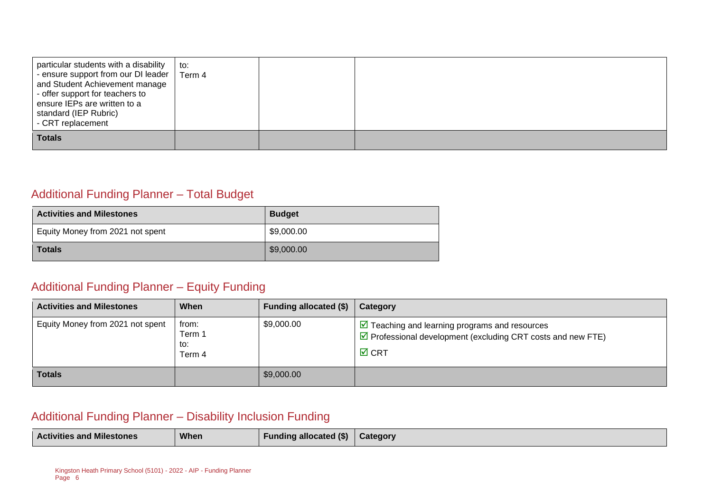| particular students with a disability<br>- ensure support from our DI leader  <br>and Student Achievement manage<br>- offer support for teachers to<br>ensure IEPs are written to a<br>standard (IEP Rubric)<br>- CRT replacement | to:<br>Term 4 |  |  |
|-----------------------------------------------------------------------------------------------------------------------------------------------------------------------------------------------------------------------------------|---------------|--|--|
| <b>Totals</b>                                                                                                                                                                                                                     |               |  |  |

#### Additional Funding Planner – Total Budget

| <b>Activities and Milestones</b> | <b>Budget</b> |
|----------------------------------|---------------|
| Equity Money from 2021 not spent | \$9,000.00    |
| <b>Totals</b>                    | \$9,000.00    |

#### Additional Funding Planner – Equity Funding

| <b>Activities and Milestones</b> | When                             | Funding allocated (\$) | Category                                                                                                                                                          |
|----------------------------------|----------------------------------|------------------------|-------------------------------------------------------------------------------------------------------------------------------------------------------------------|
| Equity Money from 2021 not spent | from:<br>Term 1<br>to:<br>Term 4 | \$9,000.00             | $\triangleright$ Teaching and learning programs and resources<br>$\triangledown$ Professional development (excluding CRT costs and new FTE)<br>$\overline{M}$ CRT |
| <b>Totals</b>                    |                                  | \$9,000.00             |                                                                                                                                                                   |

#### Additional Funding Planner – Disability Inclusion Funding

| <b>Activities and Milestones</b> | When | <b>Funding allocated (\$)</b> | Category |
|----------------------------------|------|-------------------------------|----------|
|----------------------------------|------|-------------------------------|----------|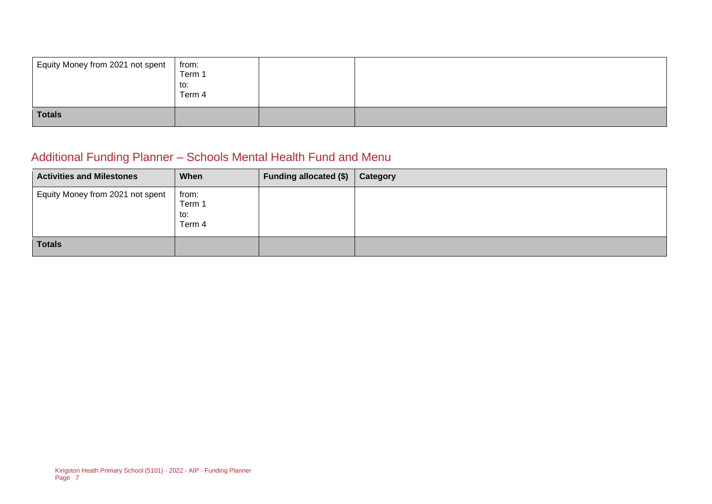| Equity Money from 2021 not spent | from:<br>Term 1<br>to:<br>Term 4 |  |
|----------------------------------|----------------------------------|--|
| <b>Totals</b>                    |                                  |  |

## Additional Funding Planner – Schools Mental Health Fund and Menu

| <b>Activities and Milestones</b> | When                             | Funding allocated $(\$)$ | Category |
|----------------------------------|----------------------------------|--------------------------|----------|
| Equity Money from 2021 not spent | from:<br>Term 1<br>to:<br>Term 4 |                          |          |
| <b>Totals</b>                    |                                  |                          |          |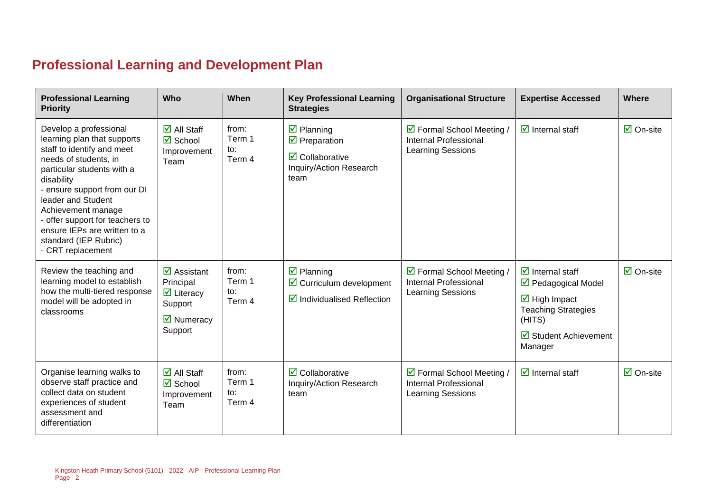## **Professional Learning and Development Plan**

| <b>Professional Learning</b><br><b>Priority</b>                                                                                                                                                                                                                                                                                                       | Who                                                                                                                                   | When                             | <b>Key Professional Learning</b><br><b>Strategies</b>                                                                                               | <b>Organisational Structure</b>                                                | <b>Expertise Accessed</b>                                                                                                                                                                              | <b>Where</b>                    |
|-------------------------------------------------------------------------------------------------------------------------------------------------------------------------------------------------------------------------------------------------------------------------------------------------------------------------------------------------------|---------------------------------------------------------------------------------------------------------------------------------------|----------------------------------|-----------------------------------------------------------------------------------------------------------------------------------------------------|--------------------------------------------------------------------------------|--------------------------------------------------------------------------------------------------------------------------------------------------------------------------------------------------------|---------------------------------|
| Develop a professional<br>learning plan that supports<br>staff to identify and meet<br>needs of students, in<br>particular students with a<br>disability<br>- ensure support from our DI<br>leader and Student<br>Achievement manage<br>- offer support for teachers to<br>ensure IEPs are written to a<br>standard (IEP Rubric)<br>- CRT replacement | $\overline{\blacksquare}$ All Staff<br><b>☑</b> School<br>Improvement<br>Team                                                         | from:<br>Term 1<br>to:<br>Term 4 | $\overline{\mathbf{y}}$ Planning<br>$\overline{\mathbf{y}}$ Preparation<br>$\overline{\mathbf{z}}$ Collaborative<br>Inquiry/Action Research<br>team | ☑ Formal School Meeting /<br>Internal Professional<br><b>Learning Sessions</b> | $\overline{\mathbf{d}}$ Internal staff                                                                                                                                                                 | $\overline{\boxtimes}$ On-site  |
| Review the teaching and<br>learning model to establish<br>how the multi-tiered response<br>model will be adopted in<br>classrooms                                                                                                                                                                                                                     | $\overline{\mathbf{z}}$ Assistant<br>Principal<br>$\triangleright$ Literacy<br>Support<br>$\overline{\mathbf{M}}$ Numeracy<br>Support | from:<br>Term 1<br>to:<br>Term 4 | $\overline{\mathbf{z}}$ Planning<br>$\triangleright$ Curriculum development<br>$\triangleright$ Individualised Reflection                           | ☑ Formal School Meeting /<br><b>Internal Professional</b><br>Learning Sessions | $\overline{\mathbf{d}}$ Internal staff<br>☑ Pedagogical Model<br>$\overline{\mathbf{M}}$ High Impact<br><b>Teaching Strategies</b><br>(HITS)<br>$\overline{\mathbf{M}}$ Student Achievement<br>Manager | $\overline{\mathsf{M}}$ On-site |
| Organise learning walks to<br>observe staff practice and<br>collect data on student<br>experiences of student<br>assessment and<br>differentiation                                                                                                                                                                                                    | $\overline{\mathsf{M}}$ All Staff<br>$\boxtimes$ School<br>Improvement<br>Team                                                        | from:<br>Term 1<br>to:<br>Term 4 | $\overline{\mathbf{2}}$ Collaborative<br>Inquiry/Action Research<br>team                                                                            | ☑ Formal School Meeting /<br><b>Internal Professional</b><br>Learning Sessions | $\overline{\mathbf{y}}$ Internal staff                                                                                                                                                                 | $\overline{\mathsf{M}}$ On-site |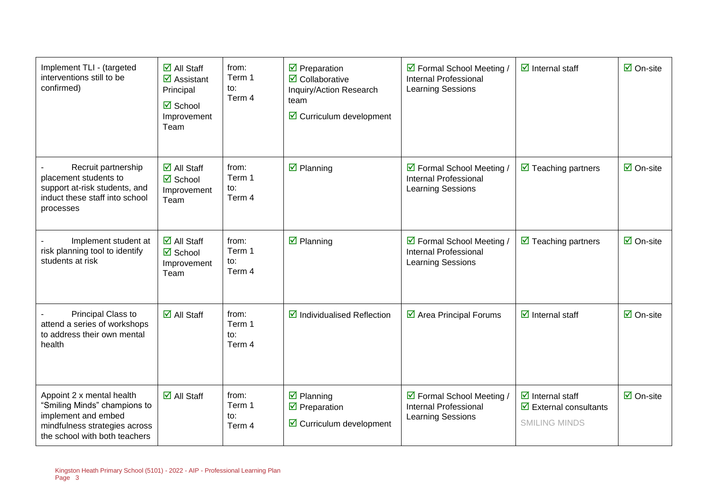| Implement TLI - (targeted<br>interventions still to be<br>confirmed)                                                                               | $\overline{\mathsf{M}}$ All Staff<br>$\overline{\mathbf{z}}$ Assistant<br>Principal<br>$\boxtimes$ School<br>Improvement<br>Team | from:<br>Term 1<br>to:<br>Term 4 | $\overline{\mathbf{M}}$ Preparation<br>$\overline{\mathbf{2}}$ Collaborative<br>Inquiry/Action Research<br>team<br>$\triangleright$ Curriculum development | ☑ Formal School Meeting /<br>Internal Professional<br><b>Learning Sessions</b>        | $\overline{\mathbf{z}}$ Internal staff                                                                         | $\overline{\mathsf{M}}$ On-site |
|----------------------------------------------------------------------------------------------------------------------------------------------------|----------------------------------------------------------------------------------------------------------------------------------|----------------------------------|------------------------------------------------------------------------------------------------------------------------------------------------------------|---------------------------------------------------------------------------------------|----------------------------------------------------------------------------------------------------------------|---------------------------------|
| Recruit partnership<br>placement students to<br>support at-risk students, and<br>induct these staff into school<br>processes                       | $\overline{\mathsf{M}}$ All Staff<br><b>Ø</b> School<br>Improvement<br>Team                                                      | from:<br>Term 1<br>to:<br>Term 4 | $\boxtimes$ Planning                                                                                                                                       | ☑ Formal School Meeting /<br><b>Internal Professional</b><br><b>Learning Sessions</b> | $\triangledown$ Teaching partners                                                                              | $\overline{\mathsf{M}}$ On-site |
| Implement student at<br>risk planning tool to identify<br>students at risk                                                                         | $\overline{\mathsf{M}}$ All Staff<br><b>Ø</b> School<br>Improvement<br>Team                                                      | from:<br>Term 1<br>to:<br>Term 4 | $\boxtimes$ Planning                                                                                                                                       | ☑ Formal School Meeting /<br><b>Internal Professional</b><br><b>Learning Sessions</b> | $\triangledown$ Teaching partners                                                                              | $\overline{\Box}$ On-site       |
| Principal Class to<br>attend a series of workshops<br>to address their own mental<br>health                                                        | $\overline{\mathsf{M}}$ All Staff                                                                                                | from:<br>Term 1<br>to:<br>Term 4 | $\triangleright$ Individualised Reflection                                                                                                                 | $\overline{\mathbf{2}}$ Area Principal Forums                                         | $\overline{\mathbf{z}}$ Internal staff                                                                         | $\overline{\Box}$ On-site       |
| Appoint 2 x mental health<br>"Smiling Minds" champions to<br>implement and embed<br>mindfulness strategies across<br>the school with both teachers | $\overline{\blacksquare}$ All Staff                                                                                              | from:<br>Term 1<br>to:<br>Term 4 | $\overline{\mathbf{z}}$ Planning<br>$\overline{\mathbf{y}}$ Preparation<br>$\triangleright$ Curriculum development                                         | ☑ Formal School Meeting /<br><b>Internal Professional</b><br><b>Learning Sessions</b> | $\overline{\mathbf{d}}$ Internal staff<br>$\overline{\mathbf{z}}$ External consultants<br><b>SMILING MINDS</b> | $\overline{\mathsf{M}}$ On-site |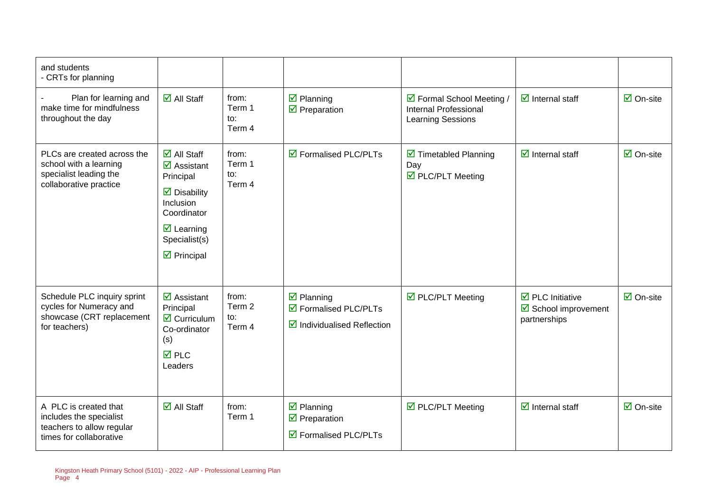| and students<br>- CRTs for planning                                                                       |                                                                                                                                                                                                                                   |                                  |                                                                                                    |                                                                                |                                                                                |                                 |
|-----------------------------------------------------------------------------------------------------------|-----------------------------------------------------------------------------------------------------------------------------------------------------------------------------------------------------------------------------------|----------------------------------|----------------------------------------------------------------------------------------------------|--------------------------------------------------------------------------------|--------------------------------------------------------------------------------|---------------------------------|
| Plan for learning and<br>make time for mindfulness<br>throughout the day                                  | $\overline{\mathbf{M}}$ All Staff                                                                                                                                                                                                 | from:<br>Term 1<br>to:<br>Term 4 | $\boxdot$ Planning<br>$\overline{\mathbf{M}}$ Preparation                                          | ☑ Formal School Meeting /<br><b>Internal Professional</b><br>Learning Sessions | $\triangleright$ Internal staff                                                | $\overline{\mathsf{M}}$ On-site |
| PLCs are created across the<br>school with a learning<br>specialist leading the<br>collaborative practice | $\overline{\mathsf{d}}$ All Staff<br>$\overline{\mathbf{M}}$ Assistant<br>Principal<br>$\triangleright$ Disability<br>Inclusion<br>Coordinator<br>$\overline{\mathbf{M}}$ Learning<br>Specialist(s)<br>$\triangleright$ Principal | from:<br>Term 1<br>to:<br>Term 4 | $\triangledown$ Formalised PLC/PLTs                                                                | $\triangleright$ Timetabled Planning<br>Day<br>☑ PLC/PLT Meeting               | $\triangleright$ Internal staff                                                | $\overline{\mathsf{M}}$ On-site |
| Schedule PLC inquiry sprint<br>cycles for Numeracy and<br>showcase (CRT replacement<br>for teachers)      | $\overline{\mathbf{M}}$ Assistant<br>Principal<br>$\triangledown$ Curriculum<br>Co-ordinator<br>(s)<br>$\overline{M}$ PLC<br>Leaders                                                                                              | from:<br>Term 2<br>to:<br>Term 4 | $\overline{\mathbf{z}}$ Planning<br>☑ Formalised PLC/PLTs<br>$\boxtimes$ Individualised Reflection | ☑ PLC/PLT Meeting                                                              | $\overline{\mathbf{a}}$ PLC Initiative<br>☑ School improvement<br>partnerships | $\overline{\mathsf{M}}$ On-site |
| A PLC is created that<br>includes the specialist<br>teachers to allow regular<br>times for collaborative  | $\overline{\mathsf{M}}$ All Staff                                                                                                                                                                                                 | from:<br>Term 1                  | $\boxtimes$ Planning<br>$\triangledown$ Preparation<br>☑ Formalised PLC/PLTs                       | $\triangledown$ PLC/PLT Meeting                                                | $\overline{\mathbf{z}}$ Internal staff                                         | $\overline{\Box}$ On-site       |